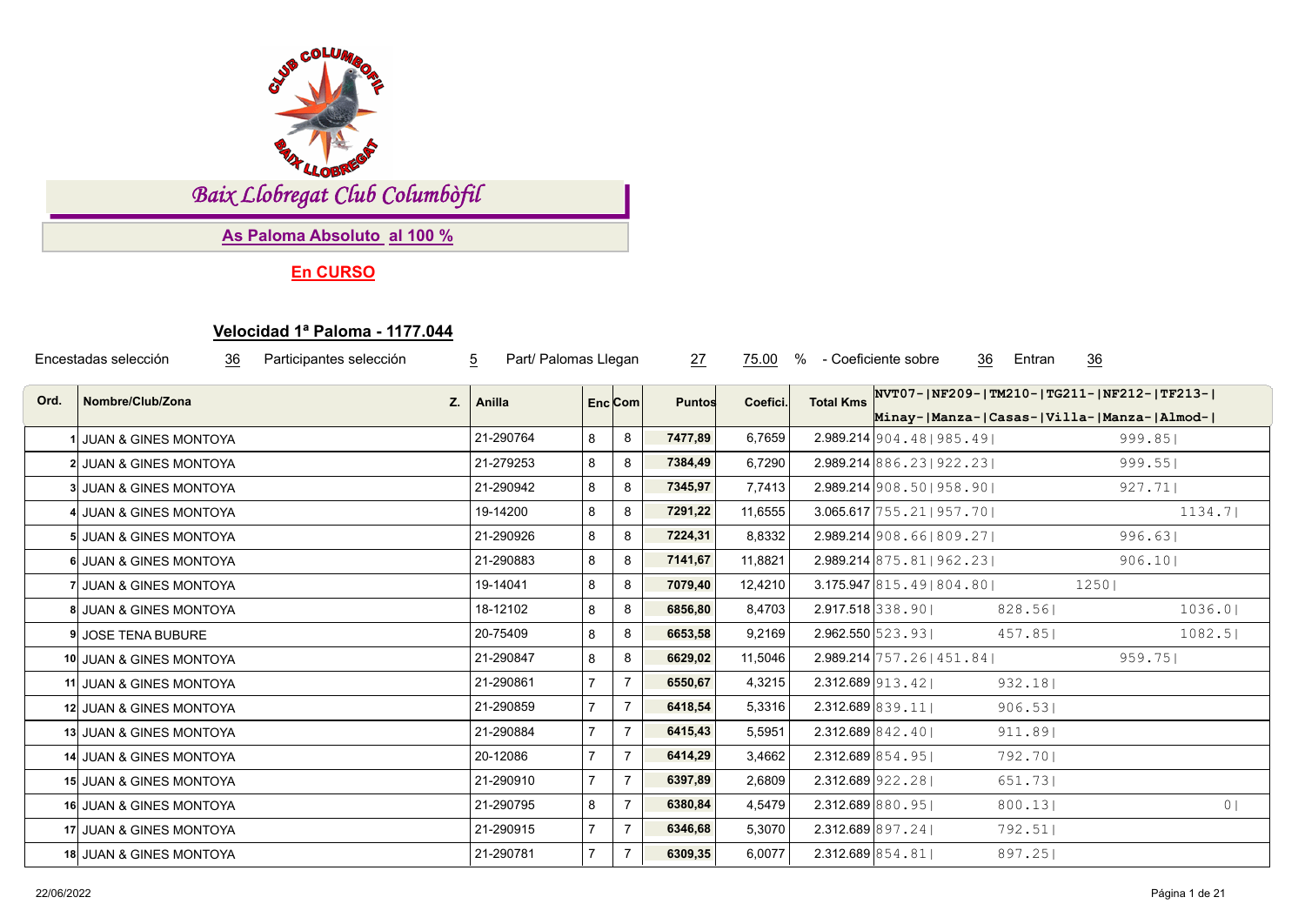

*Baix Llobregat Club Columbòfil*

**As Paloma Absoluto al 100 %**

**En CURSO**

## **Velocidad 1ª Paloma - 1177.044**

|      | Encestadas selección<br>36<br>Participantes selección | $\overline{5}$<br>Part/ Palomas Llegan |                |                | 27            | 75.00    | %                   | 36<br>- Coeficiente sobre                | 36<br>Entran                                                                            |                |
|------|-------------------------------------------------------|----------------------------------------|----------------|----------------|---------------|----------|---------------------|------------------------------------------|-----------------------------------------------------------------------------------------|----------------|
| Ord. | Nombre/Club/Zona<br>Z.                                | Anilla                                 |                | $Enc$ Com      | <b>Puntos</b> | Coefici. | <b>Total Kms</b>    |                                          | NVT07- NF209- TM210- TG211- NF212- TF213- <br>Minay- Manza- Casas- Villa- Manza- Almod- |                |
|      | 1 JUAN & GINES MONTOYA                                | 21-290764                              | 8              | 8              | 7477,89       | 6,7659   |                     | $2.989.214 \mid 904.48 \mid 985.49 \mid$ |                                                                                         | 999.85         |
|      | 2 JUAN & GINES MONTOYA                                | 21-279253                              | 8              | 8              | 7384,49       | 6,7290   |                     | $2.989.214 \mid 886.23 \mid 922.23 \mid$ |                                                                                         | 999.55         |
|      | 3 JUAN & GINES MONTOYA                                | 21-290942                              | 8              | 8              | 7345,97       | 7,7413   |                     | 2.989.214 908.50   958.90                |                                                                                         | 927.71         |
|      | 4 JUAN & GINES MONTOYA                                | 19-14200                               | 8              | 8              | 7291,22       | 11,6555  |                     | $3.065.617$ 755.21   957.70              |                                                                                         | 1134.7         |
|      | 5 JUAN & GINES MONTOYA                                | 21-290926                              | 8              | 8              | 7224,31       | 8,8332   |                     | $2.989.214$ 908.661809.271               |                                                                                         | 996.631        |
|      | 6 JUAN & GINES MONTOYA                                | 21-290883                              | 8              | 8              | 7141,67       | 11,8821  |                     | $2.989.214 \mid 875.81 \mid 962.23 \mid$ |                                                                                         | 906.10         |
|      | 7 JUAN & GINES MONTOYA                                | 19-14041                               | 8              | 8              | 7079,40       | 12,4210  |                     | 3.175.947 815.49 804.80                  | 12501                                                                                   |                |
|      | 8 JUAN & GINES MONTOYA                                | 18-12102                               | 8              | 8              | 6856,80       | 8,4703   |                     | 2.917.518 338.90                         | 828.56                                                                                  | 1036.0         |
|      | 9 JOSE TENA BUBURE                                    | 20-75409                               | 8              | 8              | 6653,58       | 9,2169   | 2.962.550 523.93    |                                          | 457.851                                                                                 | 1082.5         |
|      | 10 JUAN & GINES MONTOYA                               | 21-290847                              | 8              | 8              | 6629,02       | 11,5046  |                     | $2.989.214$ 757.26   451.84              |                                                                                         | 959.75         |
|      | 11 JUAN & GINES MONTOYA                               | 21-290861                              | $\overline{7}$ | $\overline{7}$ | 6550,67       | 4,3215   | $2.312.689$ 913.42  |                                          | 932.18                                                                                  |                |
|      | 12 JUAN & GINES MONTOYA                               | 21-290859                              |                | $\overline{7}$ | 6418,54       | 5,3316   | $2.312.689$ 839.11  |                                          | 906.53                                                                                  |                |
|      | 13 JUAN & GINES MONTOYA                               | 21-290884                              | $\overline{7}$ | $\overline{7}$ | 6415,43       | 5,5951   | 2.312.689 842.40    |                                          | 911.89                                                                                  |                |
|      | 14 JUAN & GINES MONTOYA                               | 20-12086                               |                | $7^{\circ}$    | 6414,29       | 3,4662   | $2.312.689$ 854.951 |                                          | 792.701                                                                                 |                |
|      | 15 JUAN & GINES MONTOYA                               | 21-290910                              |                | $\overline{7}$ | 6397,89       | 2,6809   | $2.312.689$ 922.28  |                                          | 651.73                                                                                  |                |
|      | 16 JUAN & GINES MONTOYA                               | 21-290795                              | 8              | $\overline{7}$ | 6380,84       | 4,5479   | 2.312.689 880.95    |                                          | 800.13                                                                                  | 0 <sub>1</sub> |
|      | 17 JUAN & GINES MONTOYA                               | 21-290915                              |                | $\overline{7}$ | 6346,68       | 5,3070   | $2.312.689$ 897.24  |                                          | 792.51                                                                                  |                |
|      | 18 JUAN & GINES MONTOYA                               | 21-290781                              | 7              | $\overline{7}$ | 6309,35       | 6,0077   | $2.312.689$ 854.81  |                                          | 897.25                                                                                  |                |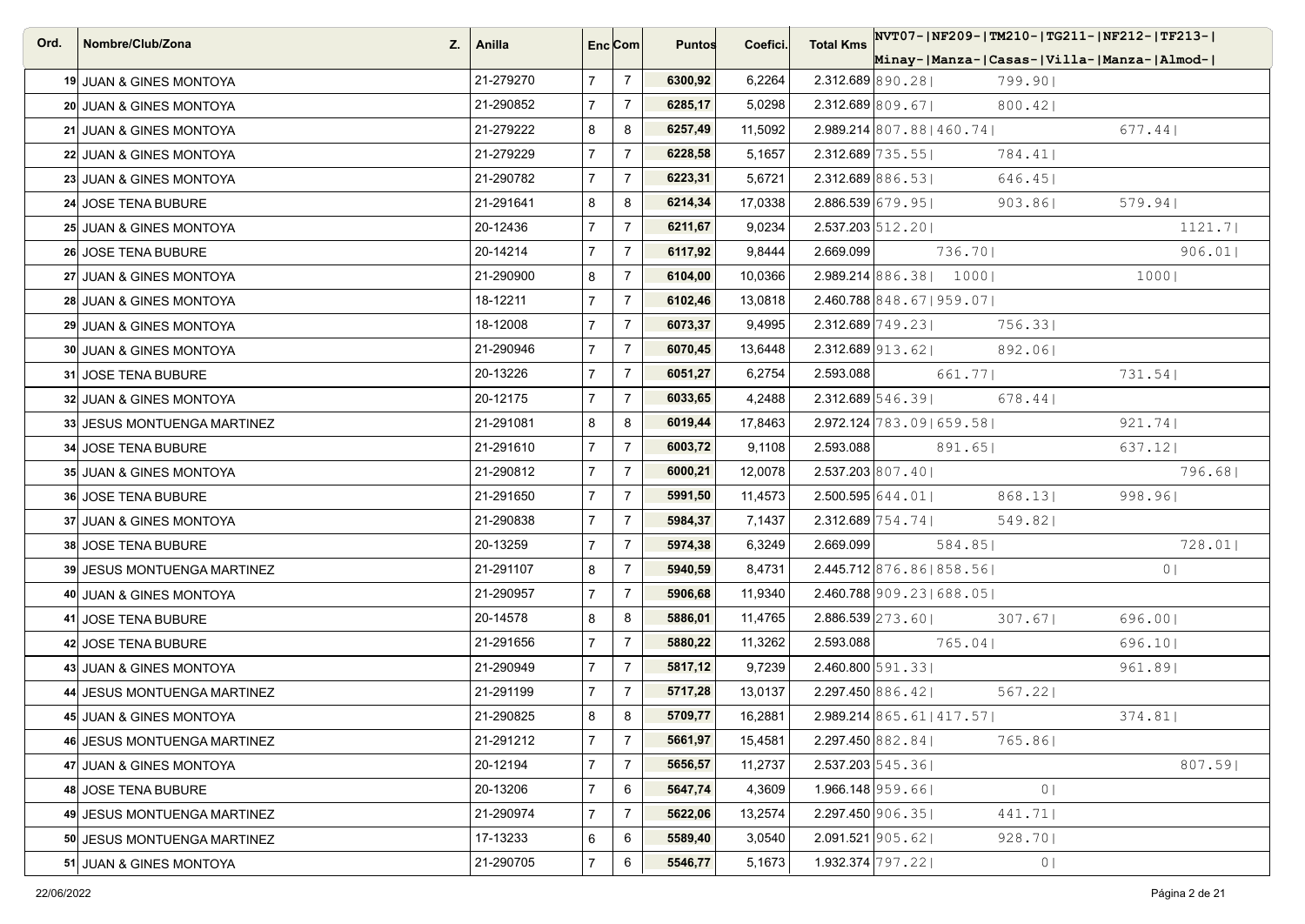| Ord. | Nombre/Club/Zona<br>Z.      | Anilla    | Enc <sub>i</sub> Com |                | <b>Puntos</b> | Coefici. | <b>Total Kms</b> | NVT07- NF209- TM210- TG211- NF212- TF213-          |
|------|-----------------------------|-----------|----------------------|----------------|---------------|----------|------------------|----------------------------------------------------|
|      |                             |           |                      |                |               |          |                  | Minay- Manza- Casas- Villa- Manza- Almod-          |
|      | 19 JUAN & GINES MONTOYA     | 21-279270 | $\overline{7}$       | $\overline{7}$ | 6300,92       | 6,2264   |                  | $2.312.689$ 890.28<br>799.90                       |
|      | 20 JUAN & GINES MONTOYA     | 21-290852 | $\overline{7}$       | $\overline{7}$ | 6285,17       | 5,0298   |                  | $2.312.689$ 809.671<br>$800.42$                    |
|      | 21 JUAN & GINES MONTOYA     | 21-279222 | 8                    | 8              | 6257,49       | 11,5092  |                  | $2.989.214 \,   807.88   460.74  $<br>$677.44$     |
|      | 22 JUAN & GINES MONTOYA     | 21-279229 | $\overline{7}$       | $\overline{7}$ | 6228,58       | 5,1657   |                  | $2.312.689$ 735.55<br>784.41                       |
|      | 23 JUAN & GINES MONTOYA     | 21-290782 | $\overline{7}$       | $\overline{7}$ | 6223,31       | 5,6721   |                  | $2.312.689$ 886.531<br>646.45                      |
|      | 24 JOSE TENA BUBURE         | 21-291641 | 8                    | 8              | 6214,34       | 17,0338  |                  | $2.886.539$ 679.95<br>579.94<br>903.861            |
|      | 25 JUAN & GINES MONTOYA     | 20-12436  | $\overline{7}$       | $\overline{7}$ | 6211,67       | 9,0234   |                  | $2.537.203 \mid 512.20 \mid$<br>1121.7             |
|      | 26 JOSE TENA BUBURE         | 20-14214  | $\overline{7}$       | $\overline{7}$ | 6117,92       | 9,8444   | 2.669.099        | 736.701<br>906.01                                  |
|      | 27 JUAN & GINES MONTOYA     | 21-290900 | 8                    | $\overline{7}$ | 6104,00       | 10,0366  |                  | $2.989.214 \,   886.38   1000  $<br>10001          |
|      | 28 JUAN & GINES MONTOYA     | 18-12211  | $\overline{7}$       | $\overline{7}$ | 6102,46       | 13,0818  |                  | 2.460.788 848.67   959.07                          |
|      | 29 JUAN & GINES MONTOYA     | 18-12008  | $\overline{7}$       | $\overline{7}$ | 6073,37       | 9,4995   |                  | $2.312.689$ 749.23<br>756.33                       |
|      | 30 JUAN & GINES MONTOYA     | 21-290946 | $\overline{7}$       | $\overline{7}$ | 6070,45       | 13,6448  |                  | $2.312.689$ 913.62<br>892.06                       |
|      | 31 JOSE TENA BUBURE         | 20-13226  | $\overline{7}$       | $\overline{7}$ | 6051,27       | 6,2754   | 2.593.088        | 731.54<br>661.771                                  |
|      | 32 JUAN & GINES MONTOYA     | 20-12175  | $\overline{7}$       | $\overline{7}$ | 6033,65       | 4,2488   |                  | $2.312.689$ 546.39<br>$678.44$                     |
|      | 33 JESUS MONTUENGA MARTINEZ | 21-291081 | 8                    | 8              | 6019,44       | 17,8463  |                  | $2.972.124 \mid 783.09 \mid 659.58 \mid$<br>921.74 |
|      | 34 JOSE TENA BUBURE         | 21-291610 | $\overline{7}$       | $\overline{7}$ | 6003,72       | 9,1108   | 2.593.088        | 891.65 <br>637.12                                  |
|      | 35 JUAN & GINES MONTOYA     | 21-290812 | $\overline{7}$       | $\overline{7}$ | 6000,21       | 12,0078  |                  | $2.537.203$ 807.40<br>796.68                       |
|      | <b>36 JOSE TENA BUBURE</b>  | 21-291650 | $\overline{7}$       | $\overline{7}$ | 5991,50       | 11,4573  |                  | $2.500.595$ 644.01<br>868.131<br>998.961           |
|      | 37 JUAN & GINES MONTOYA     | 21-290838 | $\overline{7}$       | $\overline{7}$ | 5984,37       | 7,1437   |                  | $2.312.689$ 754.74<br>549.82                       |
|      | 38 JOSE TENA BUBURE         | 20-13259  | $\overline{7}$       | $\overline{7}$ | 5974,38       | 6,3249   | 2.669.099        | 584.85<br>728.01                                   |
|      | 39 JESUS MONTUENGA MARTINEZ | 21-291107 | 8                    | $\overline{7}$ | 5940,59       | 8,4731   |                  | 2.445.712 876.86   858.56  <br>0 <sub>1</sub>      |
|      | 40 JUAN & GINES MONTOYA     | 21-290957 | $\overline{7}$       | $\overline{7}$ | 5906,68       | 11,9340  |                  | $2.460.788$ 909.23   688.05                        |
|      | 41 JOSE TENA BUBURE         | 20-14578  | 8                    | 8              | 5886,01       | 11,4765  |                  | $2.886.539$ 273.60<br>696.00<br>307.67             |
|      | 42 JOSE TENA BUBURE         | 21-291656 | $\overline{7}$       | $\overline{7}$ | 5880,22       | 11,3262  | 2.593.088        | $765.04$  <br>696.101                              |
|      | 43 JUAN & GINES MONTOYA     | 21-290949 | $\overline{7}$       | $\overline{7}$ | 5817,12       | 9,7239   |                  | $2.460.800$ 591.33<br>961.89                       |
|      | 44 JESUS MONTUENGA MARTINEZ | 21-291199 | $\overline{7}$       | $\overline{7}$ | 5717,28       | 13,0137  |                  | $2.297.450\,866.42$<br>567.22                      |
|      | 45 JUAN & GINES MONTOYA     | 21-290825 | 8                    | 8              | 5709,77       | 16,2881  |                  | $2.989.214 \mid 865.61 \mid 417.57 \mid$<br>374.81 |
|      | 46 JESUS MONTUENGA MARTINEZ | 21-291212 | $\overline{7}$       | $\overline{7}$ | 5661,97       | 15,4581  |                  | 2.297.450 882.84<br>765.86                         |
|      | 47 JUAN & GINES MONTOYA     | 20-12194  | $\overline{7}$       | $\overline{7}$ | 5656,57       | 11,2737  |                  | $2.537.203 \mid 545.36 \mid$<br>807.59             |
|      | 48 JOSE TENA BUBURE         | 20-13206  | $\overline{7}$       | 6              | 5647,74       | 4,3609   |                  | $1.966.148$ 959.66<br>0 <sub>1</sub>               |
|      | 49 JESUS MONTUENGA MARTINEZ | 21-290974 | $\overline{7}$       | $\overline{7}$ | 5622,06       | 13,2574  |                  | 2.297.450 906.35 <br>441.71                        |
|      | 50 JESUS MONTUENGA MARTINEZ | 17-13233  | 6                    | 6              | 5589,40       | 3,0540   |                  | $2.091.521$   905.62  <br>928.70                   |
|      | 51 JUAN & GINES MONTOYA     | 21-290705 | $\overline{7}$       | 6              | 5546,77       | 5,1673   |                  | 1.932.374 797.22  <br>0 <sub>1</sub>               |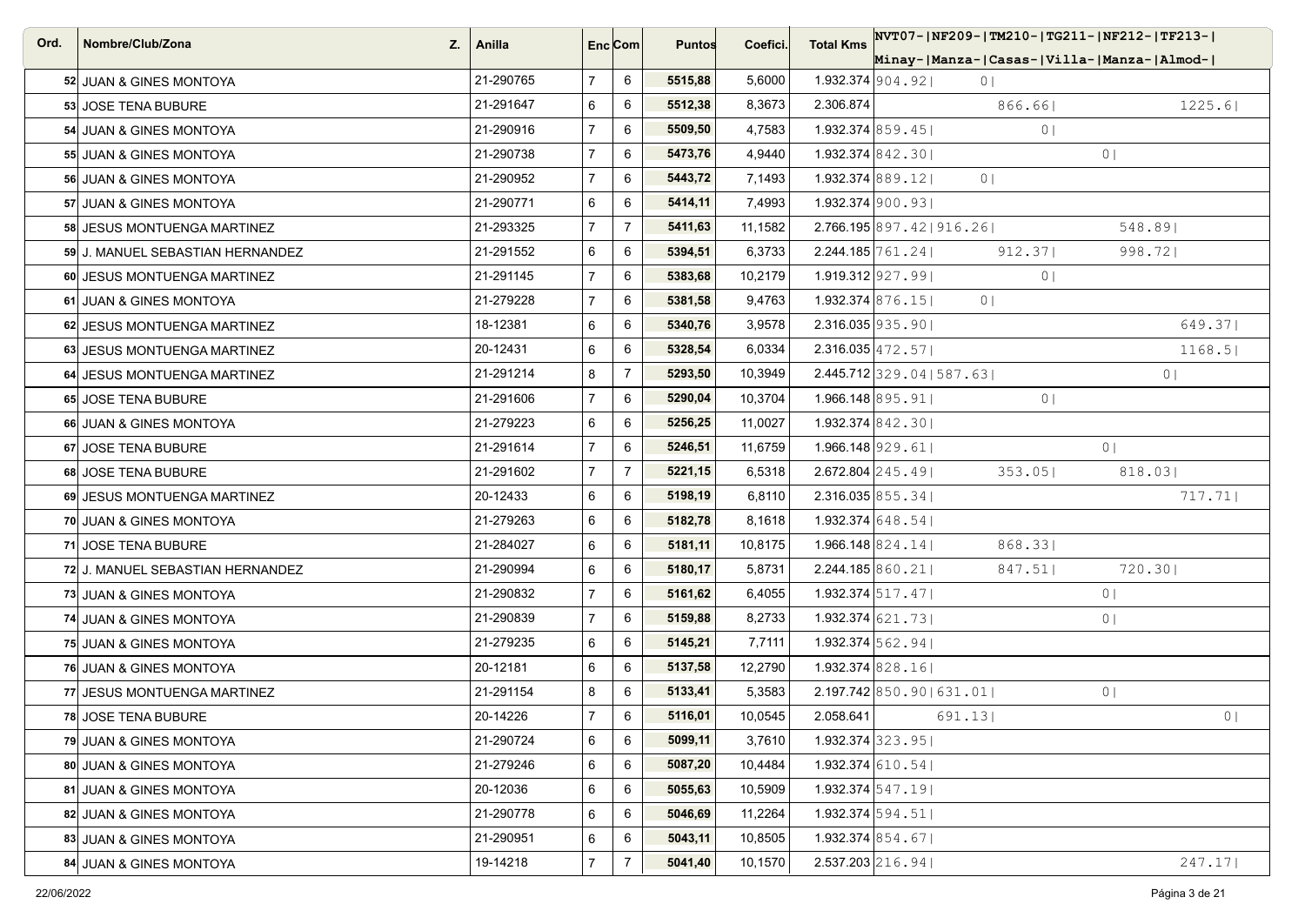| Ord. | Nombre/Club/Zona<br>Z.           | Anilla    |                | Enc <sub>i</sub> Com | <b>Puntos</b> | Coefici. | <b>Total Kms</b>             | NVT07- NF209- TM210- TG211- NF212- TF213- |                |
|------|----------------------------------|-----------|----------------|----------------------|---------------|----------|------------------------------|-------------------------------------------|----------------|
|      |                                  |           |                |                      |               |          |                              | Minay- Manza- Casas- Villa- Manza- Almod- |                |
|      | 52 JUAN & GINES MONTOYA          | 21-290765 | $\overline{7}$ | 6                    | 5515,88       | 5,6000   | $1.932.374$  904.92          | 0 <sub>1</sub>                            |                |
|      | 53 JOSE TENA BUBURE              | 21-291647 | 6              | 6                    | 5512,38       | 8,3673   | 2.306.874                    | 866.661                                   | 1225.6         |
|      | 54 JUAN & GINES MONTOYA          | 21-290916 | $\overline{7}$ | 6                    | 5509,50       | 4,7583   | $1.932.374$ 859.45           | 0 <sub>1</sub>                            |                |
|      | 55 JUAN & GINES MONTOYA          | 21-290738 | $\overline{7}$ | 6                    | 5473,76       | 4,9440   | 1.932.374 $ 842.30 $         |                                           | $0 \mid$       |
|      | 56 JUAN & GINES MONTOYA          | 21-290952 | $\overline{7}$ | 6                    | 5443,72       | 7,1493   | $1.932.374$ 889.12           | 0 <sup>1</sup>                            |                |
|      | 57 JUAN & GINES MONTOYA          | 21-290771 | 6              | 6                    | 5414,11       | 7,4993   | $1.932.374$ 900.931          |                                           |                |
|      | 58 JESUS MONTUENGA MARTINEZ      | 21-293325 | $\overline{7}$ | $\overline{7}$       | 5411,63       | 11,1582  |                              | $2.766.195 \mid 897.42 \mid 916.26 \mid$  | 548.891        |
|      | 59 J. MANUEL SEBASTIAN HERNANDEZ | 21-291552 | 6              | 6                    | 5394,51       | 6,3733   | $2.244.185 \mid 761.24 \mid$ | 912.37                                    | 998.72         |
|      | 60 JESUS MONTUENGA MARTINEZ      | 21-291145 | $\overline{7}$ | 6                    | 5383,68       | 10,2179  | $1.919.312$   927.99         | 0 <sub>1</sub>                            |                |
|      | 61 JUAN & GINES MONTOYA          | 21-279228 | $\overline{7}$ | 6                    | 5381,58       | 9,4763   | $1.932.374$ 876.15           | 0 <sup>1</sup>                            |                |
|      | 62 JESUS MONTUENGA MARTINEZ      | 18-12381  | 6              | 6                    | 5340,76       | 3,9578   | $2.316.035$ 935.90           |                                           | 649.371        |
|      | 63 JESUS MONTUENGA MARTINEZ      | 20-12431  | 6              | 6                    | 5328,54       | 6,0334   | $2.316.035 \mid 472.57 \mid$ |                                           | 1168.5         |
|      | 64 JESUS MONTUENGA MARTINEZ      | 21-291214 | 8              | $\overline{7}$       | 5293,50       | 10,3949  |                              | $2.445.712$ 329.04   587.63               | 0 <sub>1</sub> |
|      | 65 JOSE TENA BUBURE              | 21-291606 | $\overline{7}$ | 6                    | 5290,04       | 10,3704  | 1.966.148 895.91             | 0 <sub>1</sub>                            |                |
|      | 66 JUAN & GINES MONTOYA          | 21-279223 | 6              | 6                    | 5256,25       | 11,0027  | $1.932.374$ 842.30           |                                           |                |
|      | 67 JOSE TENA BUBURE              | 21-291614 | $\overline{7}$ | 6                    | 5246,51       | 11,6759  | $1.966.148$ 929.61           |                                           | 0 <sup>1</sup> |
|      | 68 JOSE TENA BUBURE              | 21-291602 | $\overline{7}$ | $\overline{7}$       | 5221,15       | 6,5318   | $2.672.804$ $245.49$         | 353.05                                    | 818.031        |
|      | 69 JESUS MONTUENGA MARTINEZ      | 20-12433  | 6              | 6                    | 5198,19       | 6,8110   | $2.316.035$ 855.34           |                                           | 717.71         |
|      | 70 JUAN & GINES MONTOYA          | 21-279263 | 6              | 6                    | 5182,78       | 8,1618   | 1.932.374 $648.54$           |                                           |                |
|      | 71 JOSE TENA BUBURE              | 21-284027 | 6              | 6                    | 5181,11       | 10,8175  | 1.966.148 $ 824.14 $         | 868.331                                   |                |
|      | 72 J. MANUEL SEBASTIAN HERNANDEZ | 21-290994 | 6              | 6                    | 5180,17       | 5,8731   | 2.244.185 860.21             | 847.51                                    | 720.30         |
|      | 73 JUAN & GINES MONTOYA          | 21-290832 | $\overline{7}$ | 6                    | 5161,62       | 6,4055   | $1.932.374$ 517.47           |                                           | 0              |
|      | 74 JUAN & GINES MONTOYA          | 21-290839 | $\overline{7}$ | 6                    | 5159,88       | 8,2733   | $1.932.374$ 621.73           |                                           | 0 <sup>1</sup> |
|      | 75 JUAN & GINES MONTOYA          | 21-279235 | 6              | 6                    | 5145,21       | 7,7111   | $1.932.374$ 562.941          |                                           |                |
|      | 76 JUAN & GINES MONTOYA          | 20-12181  | 6              | 6                    | 5137,58       | 12,2790  | 1.932.374 828.16             |                                           |                |
|      | 77 JESUS MONTUENGA MARTINEZ      | 21-291154 | 8              | 6                    | 5133,41       | 5,3583   |                              | $2.197.742$ 850.90 631.01                 | 0 <sup>1</sup> |
|      | 78 JOSE TENA BUBURE              | 20-14226  | $\overline{7}$ | 6                    | 5116,01       | 10,0545  | 2.058.641                    | 691.13                                    | 0 <sup>1</sup> |
|      | 79 JUAN & GINES MONTOYA          | 21-290724 | 6              | 6                    | 5099,11       | 3,7610   | $1.932.374$ 323.95           |                                           |                |
|      | 80 JUAN & GINES MONTOYA          | 21-279246 | 6              | 6                    | 5087,20       | 10,4484  | $1.932.374$ 610.54           |                                           |                |
|      | 81 JUAN & GINES MONTOYA          | 20-12036  | 6              | 6                    | 5055,63       | 10,5909  | $1.932.374$ 547.19           |                                           |                |
|      | 82 JUAN & GINES MONTOYA          | 21-290778 | 6              | 6                    | 5046,69       | 11,2264  | 1.932.374 594.51             |                                           |                |
|      | 83 JUAN & GINES MONTOYA          | 21-290951 | 6              | 6                    | 5043,11       | 10,8505  | $1.932.374$ 854.67           |                                           |                |
|      | 84 JUAN & GINES MONTOYA          | 19-14218  | $\overline{7}$ | $\overline{7}$       | 5041,40       | 10,1570  | 2.537.203 216.94             |                                           | 247.17         |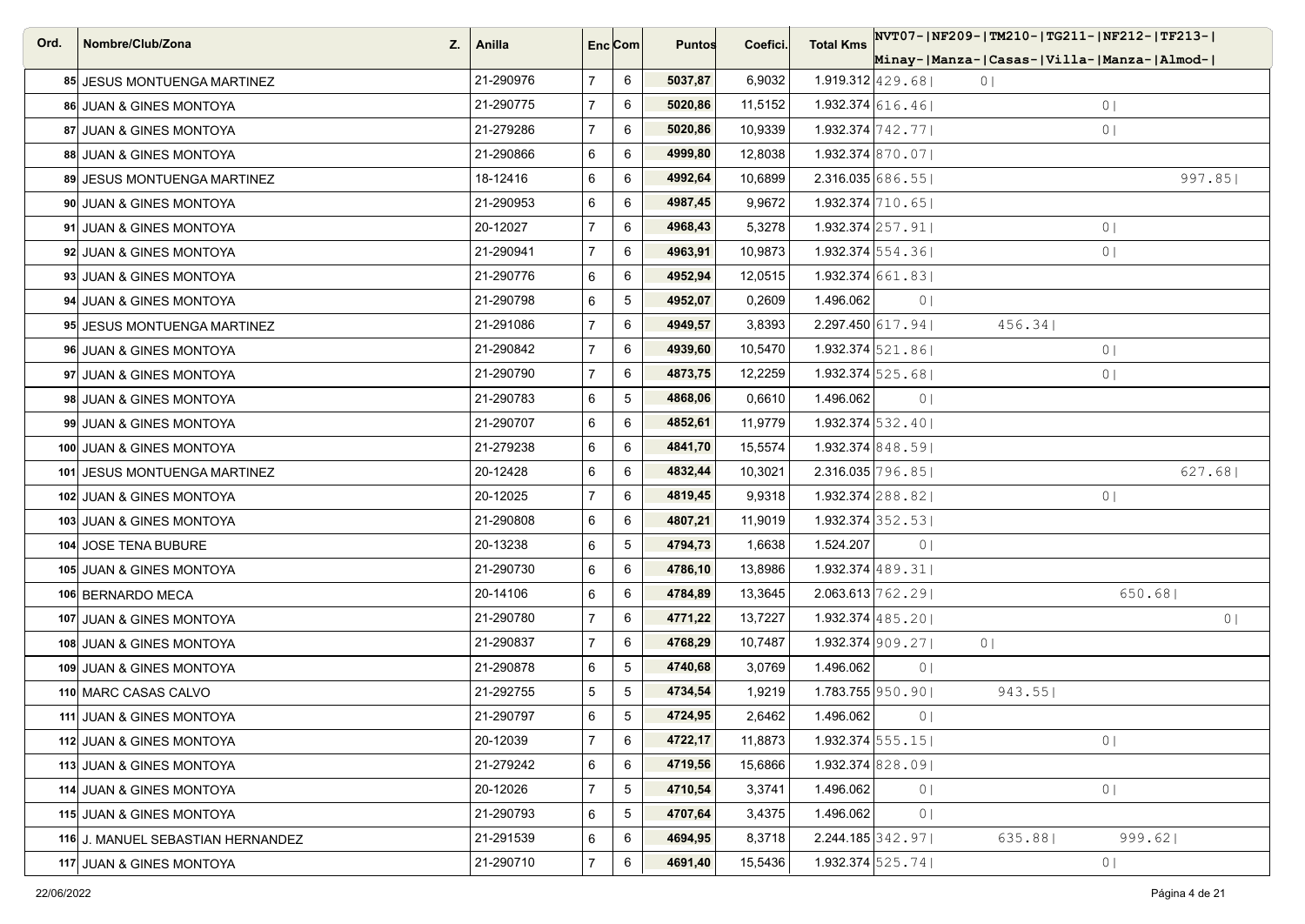| Ord. | Nombre/Club/Zona<br>Z.             | Anilla    | Enc Com        |                 | <b>Puntos</b> | Coefici. | <b>Total Kms</b>                |                | NVT07- NF209- TM210- TG211- NF212- TF213- |                |                |
|------|------------------------------------|-----------|----------------|-----------------|---------------|----------|---------------------------------|----------------|-------------------------------------------|----------------|----------------|
|      |                                    |           |                |                 |               |          |                                 |                | Minay- Manza- Casas- Villa- Manza- Almod- |                |                |
|      | 85 JESUS MONTUENGA MARTINEZ        | 21-290976 | $7^{\circ}$    | 6               | 5037,87       | 6,9032   | $1.919.312$ $ 429.68 $          |                | 0 <sub>1</sub>                            |                |                |
|      | <b>86 JUAN &amp; GINES MONTOYA</b> | 21-290775 | $\overline{7}$ | 6               | 5020,86       | 11,5152  | $1.932.374$ 616.461             |                |                                           | 0 <sub>1</sub> |                |
|      | 87 JUAN & GINES MONTOYA            | 21-279286 | $\overline{7}$ | 6               | 5020,86       | 10,9339  | 1.932.374 $\left[742.77\right]$ |                |                                           | 0              |                |
|      | 88 JUAN & GINES MONTOYA            | 21-290866 | 6              | 6               | 4999,80       | 12,8038  | $1.932.374$ 870.07              |                |                                           |                |                |
|      | 89 JESUS MONTUENGA MARTINEZ        | 18-12416  | 6              | 6               | 4992,64       | 10,6899  | $2.316.035$ 686.55              |                |                                           |                | 997.85         |
|      | 90 JUAN & GINES MONTOYA            | 21-290953 | 6              | 6               | 4987,45       | 9,9672   | $1.932.374$ 710.65              |                |                                           |                |                |
|      | 91 JUAN & GINES MONTOYA            | 20-12027  | $\overline{7}$ | 6               | 4968,43       | 5,3278   | $1.932.374$ $257.91$            |                |                                           | 0 <sup>1</sup> |                |
|      | 92 JUAN & GINES MONTOYA            | 21-290941 | $\overline{7}$ | 6               | 4963,91       | 10,9873  | $1.932.374$ 554.361             |                |                                           | 0 <sub>1</sub> |                |
|      | 93 JUAN & GINES MONTOYA            | 21-290776 | 6              | 6               | 4952,94       | 12,0515  | $1.932.374$ 661.83              |                |                                           |                |                |
|      | 94 JUAN & GINES MONTOYA            | 21-290798 | 6              | 5               | 4952,07       | 0,2609   | 1.496.062                       | 0 <sub>1</sub> |                                           |                |                |
|      | 95 JESUS MONTUENGA MARTINEZ        | 21-291086 | $\overline{7}$ | 6               | 4949,57       | 3,8393   | $2.297.450$ 617.94              |                | 456.34                                    |                |                |
|      | 96 JUAN & GINES MONTOYA            | 21-290842 | $\overline{7}$ | 6               | 4939,60       | 10,5470  | $1.932.374$ 521.86              |                |                                           | 0              |                |
|      | 97 JUAN & GINES MONTOYA            | 21-290790 | $\overline{7}$ | 6               | 4873,75       | 12,2259  | 1.932.374 $ 525.68 $            |                |                                           | 0              |                |
|      | 98 JUAN & GINES MONTOYA            | 21-290783 | 6              | 5               | 4868,06       | 0,6610   | 1.496.062                       | 0 <sup>1</sup> |                                           |                |                |
|      | 99 JUAN & GINES MONTOYA            | 21-290707 | 6              | 6               | 4852,61       | 11,9779  | $1.932.374$ 532.40              |                |                                           |                |                |
|      | 100 JUAN & GINES MONTOYA           | 21-279238 | 6              | 6               | 4841,70       | 15,5574  | $1.932.374 \,   848.59  $       |                |                                           |                |                |
|      | 101 JESUS MONTUENGA MARTINEZ       | 20-12428  | 6              | 6               | 4832,44       | 10,3021  | $2.316.035 \mid 796.85 \mid$    |                |                                           |                | 627.68         |
|      | 102 JUAN & GINES MONTOYA           | 20-12025  | $\overline{7}$ | 6               | 4819,45       | 9,9318   | 1.932.374 $\left 288.82\right $ |                |                                           | 0 <sub>1</sub> |                |
|      | 103 JUAN & GINES MONTOYA           | 21-290808 | 6              | 6               | 4807,21       | 11,9019  | $1.932.374$ 352.531             |                |                                           |                |                |
|      | 104 JOSE TENA BUBURE               | 20-13238  | 6              | $5\phantom{.0}$ | 4794,73       | 1,6638   | 1.524.207                       | 0 <sub>1</sub> |                                           |                |                |
|      | 105 JUAN & GINES MONTOYA           | 21-290730 | 6              | 6               | 4786,10       | 13,8986  | $1.932.374$ 489.31              |                |                                           |                |                |
|      | 106 BERNARDO MECA                  | 20-14106  | 6              | 6               | 4784,89       | 13,3645  | $2.063.613 \mid 762.29 \mid$    |                |                                           | 650.68         |                |
|      | 107 JUAN & GINES MONTOYA           | 21-290780 | $\overline{7}$ | 6               | 4771,22       | 13,7227  | $1.932.374$ 485.20              |                |                                           |                | 0 <sub>1</sub> |
|      | 108 JUAN & GINES MONTOYA           | 21-290837 | $\overline{7}$ | 6               | 4768,29       | 10,7487  | $1.932.374$   909.27            |                | 0 <sup>1</sup>                            |                |                |
|      | 109 JUAN & GINES MONTOYA           | 21-290878 | 6              | $5\phantom{.0}$ | 4740,68       | 3,0769   | 1.496.062                       | 0 <sub>1</sub> |                                           |                |                |
|      | 110 MARC CASAS CALVO               | 21-292755 | 5              | 5               | 4734,54       | 1,9219   | $1.783.755$ 950.90              |                | 943.55                                    |                |                |
|      | 111 JUAN & GINES MONTOYA           | 21-290797 | 6              | 5               | 4724,95       | 2,6462   | 1.496.062                       | 0 <sub>1</sub> |                                           |                |                |
|      | 112 JUAN & GINES MONTOYA           | 20-12039  | $\overline{7}$ | 6               | 4722,17       | 11,8873  | $1.932.374$ 555.15              |                |                                           | 0              |                |
|      | 113 JUAN & GINES MONTOYA           | 21-279242 | 6              | 6               | 4719,56       | 15,6866  | $1.932.374$ 828, 091            |                |                                           |                |                |
|      | 114 JUAN & GINES MONTOYA           | 20-12026  | $\overline{7}$ | $5\phantom{.0}$ | 4710,54       | 3,3741   | 1.496.062                       | 0 <sub>1</sub> |                                           | 0              |                |
|      | 115 JUAN & GINES MONTOYA           | 21-290793 | 6              | 5               | 4707,64       | 3,4375   | 1.496.062                       | 0 <sup>1</sup> |                                           |                |                |
|      | 116 J. MANUEL SEBASTIAN HERNANDEZ  | 21-291539 | 6              | 6               | 4694,95       | 8,3718   | $2.244.185$ 342.97              |                | 635.881                                   | 999.621        |                |
|      | 117 JUAN & GINES MONTOYA           | 21-290710 | $\overline{7}$ | 6               | 4691,40       | 15,5436  | 1.932.374 $525.74$              |                |                                           | 0              |                |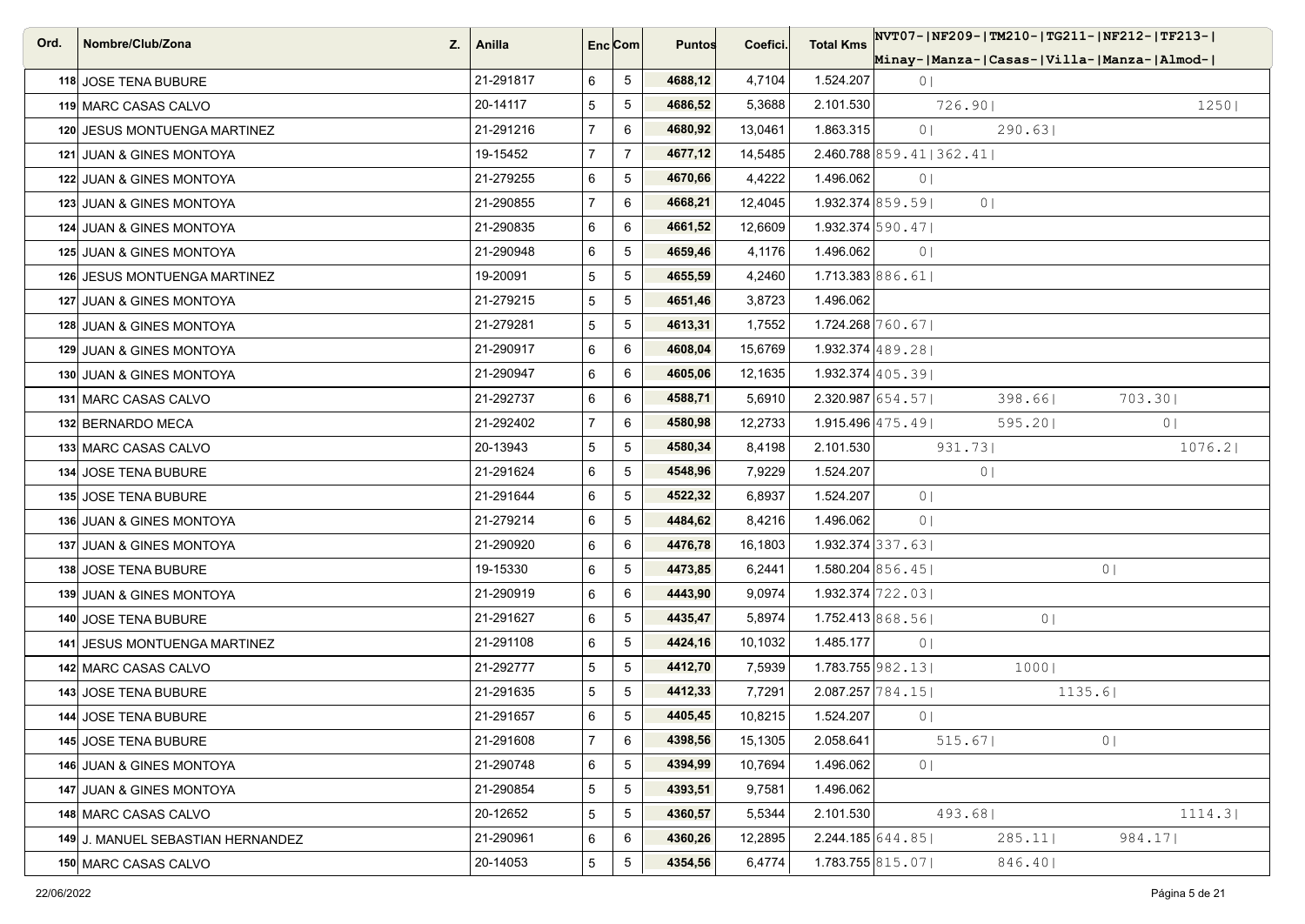| Ord. | Nombre/Club/Zona<br>Z.            | Anilla    | Enc <sub>i</sub> Com |                 | <b>Puntos</b> | Coefici. | <b>Total Kms</b> |                             | NVT07- NF209- TM210- TG211- NF212- TF213- |                |
|------|-----------------------------------|-----------|----------------------|-----------------|---------------|----------|------------------|-----------------------------|-------------------------------------------|----------------|
|      |                                   |           |                      |                 |               |          |                  |                             | Minay- Manza- Casas- Villa- Manza- Almod- |                |
|      | 118 JOSE TENA BUBURE              | 21-291817 | 6                    | 5               | 4688,12       | 4,7104   | 1.524.207        | 0 <sub>1</sub>              |                                           |                |
|      | 119 MARC CASAS CALVO              | 20-14117  | 5                    | 5               | 4686,52       | 5,3688   | 2.101.530        |                             | 726.901                                   | 1250           |
|      | 120 JESUS MONTUENGA MARTINEZ      | 21-291216 | $\overline{7}$       | 6               | 4680,92       | 13,0461  | 1.863.315        | $0 \mid$                    | 290.63                                    |                |
|      | 121 JUAN & GINES MONTOYA          | 19-15452  | $\overline{7}$       | $\overline{7}$  | 4677,12       | 14,5485  |                  | $2.460.788$ 859.41   362.41 |                                           |                |
|      | 122 JUAN & GINES MONTOYA          | 21-279255 | 6                    | 5               | 4670,66       | 4,4222   | 1.496.062        | 0 <sup>1</sup>              |                                           |                |
|      | 123 JUAN & GINES MONTOYA          | 21-290855 | $\overline{7}$       | 6               | 4668,21       | 12,4045  |                  | $1.932.374$ 859.59          | 0 <sup>1</sup>                            |                |
|      | 124 JUAN & GINES MONTOYA          | 21-290835 | 6                    | 6               | 4661,52       | 12,6609  |                  | $1.932.374$ 590.47          |                                           |                |
|      | 125 JUAN & GINES MONTOYA          | 21-290948 | 6                    | $5\phantom{.0}$ | 4659,46       | 4,1176   | 1.496.062        | 0 <sub>1</sub>              |                                           |                |
|      | 126 JESUS MONTUENGA MARTINEZ      | 19-20091  | 5                    | 5               | 4655,59       | 4,2460   |                  | 1.713.383 886.61            |                                           |                |
|      | 127 JUAN & GINES MONTOYA          | 21-279215 | 5                    | 5               | 4651,46       | 3,8723   | 1.496.062        |                             |                                           |                |
|      | 128 JUAN & GINES MONTOYA          | 21-279281 | 5                    | 5               | 4613,31       | 1,7552   |                  | $1.724.268$ 760.671         |                                           |                |
|      | 129 JUAN & GINES MONTOYA          | 21-290917 | 6                    | 6               | 4608,04       | 15,6769  |                  | $1.932.374$ 489.28          |                                           |                |
|      | 130 JUAN & GINES MONTOYA          | 21-290947 | 6                    | 6               | 4605,06       | 12,1635  |                  | $1.932.374$ $ 405.39 $      |                                           |                |
|      | 131 MARC CASAS CALVO              | 21-292737 | 6                    | 6               | 4588,71       | 5,6910   |                  | $2.320.987$ 654.57          | 398.66                                    | 703.30         |
|      | 132 BERNARDO MECA                 | 21-292402 | $\overline{7}$       | 6               | 4580,98       | 12,2733  |                  | $1.915.496$ $ 475.49 $      | 595.20                                    | 0 <sup>1</sup> |
|      | 133 MARC CASAS CALVO              | 20-13943  | 5                    | 5               | 4580,34       | 8,4198   | 2.101.530        |                             | 931.73                                    | 1076.2         |
|      | 134 JOSE TENA BUBURE              | 21-291624 | 6                    | 5               | 4548,96       | 7,9229   | 1.524.207        |                             | 0 <sup>1</sup>                            |                |
|      | 135 JOSE TENA BUBURE              | 21-291644 | 6                    | 5               | 4522,32       | 6,8937   | 1.524.207        | 0 <sub>1</sub>              |                                           |                |
|      | 136 JUAN & GINES MONTOYA          | 21-279214 | 6                    | 5               | 4484,62       | 8,4216   | 1.496.062        | 0 <sup>1</sup>              |                                           |                |
|      | 137 JUAN & GINES MONTOYA          | 21-290920 | 6                    | 6               | 4476,78       | 16,1803  |                  | $1.932.374$ 337.63          |                                           |                |
|      | 138 JOSE TENA BUBURE              | 19-15330  | 6                    | 5               | 4473,85       | 6,2441   |                  | 1.580.204 $ 856.45 $        |                                           | 0 <sub>1</sub> |
|      | 139 JUAN & GINES MONTOYA          | 21-290919 | 6                    | 6               | 4443,90       | 9,0974   |                  | $1.932.374$ 722.03          |                                           |                |
|      | 140 JOSE TENA BUBURE              | 21-291627 | 6                    | 5               | 4435,47       | 5,8974   |                  | $1.752.413\,868.56$         | 0 <sub>1</sub>                            |                |
|      | 141 JESUS MONTUENGA MARTINEZ      | 21-291108 | 6                    | 5               | 4424,16       | 10,1032  | 1.485.177        | 0 <sub>1</sub>              |                                           |                |
|      | 142 MARC CASAS CALVO              | 21-292777 | 5                    | 5               | 4412,70       | 7,5939   |                  | $1.783.755$ 982.13          | 1000                                      |                |
|      | 143 JOSE TENA BUBURE              | 21-291635 | 5                    | 5               | 4412,33       | 7,7291   |                  | $2.087.257$ 784.15          | 1135.6                                    |                |
|      | 144 JOSE TENA BUBURE              | 21-291657 | 6                    | 5               | 4405,45       | 10,8215  | 1.524.207        | 0 <sub>1</sub>              |                                           |                |
|      | 145 JOSE TENA BUBURE              | 21-291608 | $\overline{7}$       | 6               | 4398,56       | 15,1305  | 2.058.641        |                             | 515.67                                    | 0 <sup>1</sup> |
|      | 146 JUAN & GINES MONTOYA          | 21-290748 | 6                    | 5               | 4394,99       | 10,7694  | 1.496.062        | 0 <sub>1</sub>              |                                           |                |
|      | 147 JUAN & GINES MONTOYA          | 21-290854 | 5                    | $\,$ 5 $\,$     | 4393,51       | 9,7581   | 1.496.062        |                             |                                           |                |
|      | 148 MARC CASAS CALVO              | 20-12652  | 5                    | 5               | 4360,57       | 5,5344   | 2.101.530        |                             | 493.68                                    | 1114.3         |
|      | 149 J. MANUEL SEBASTIAN HERNANDEZ | 21-290961 | 6                    | 6               | 4360,26       | 12,2895  |                  | $2.244.185$ 644.85          | $285.11$                                  | 984.17         |
|      | 150 MARC CASAS CALVO              | 20-14053  | 5                    | 5               | 4354,56       | 6,4774   |                  | $1.783.755$ 815.07          | 846.40                                    |                |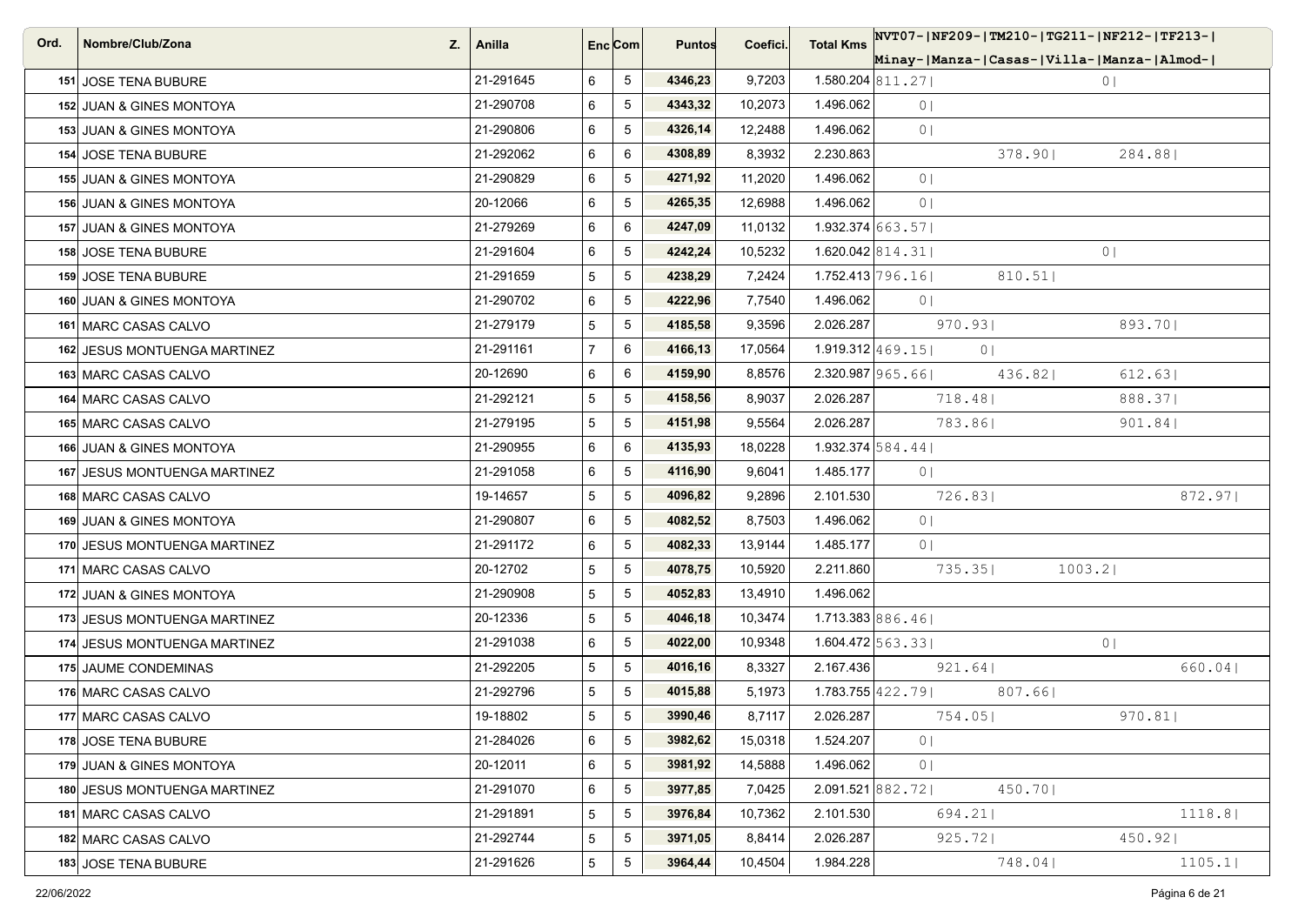| Ord. | Nombre/Club/Zona<br>Z.              | Anilla    | Enc Com        |                 | <b>Puntos</b> | Coefici. | <b>Total Kms</b> |                              |                | NVT07- NF209- TM210- TG211- NF212- TF213- |
|------|-------------------------------------|-----------|----------------|-----------------|---------------|----------|------------------|------------------------------|----------------|-------------------------------------------|
|      |                                     |           |                |                 |               |          |                  |                              |                | Minay- Manza- Casas- Villa- Manza- Almod- |
|      | 151 JOSE TENA BUBURE                | 21-291645 | 6              | 5               | 4346,23       | 9,7203   |                  | $1.580.204$ 811.27           |                | $0 \mid$                                  |
|      | 152 JUAN & GINES MONTOYA            | 21-290708 | 6              | $5\phantom{.0}$ | 4343,32       | 10,2073  | 1.496.062        | 0 <sub>1</sub>               |                |                                           |
|      | 153 JUAN & GINES MONTOYA            | 21-290806 | 6              | 5               | 4326,14       | 12,2488  | 1.496.062        | 0 <sub>1</sub>               |                |                                           |
|      | 154 JOSE TENA BUBURE                | 21-292062 | 6              | 6               | 4308,89       | 8,3932   | 2.230.863        |                              | 378.90         | 284.88                                    |
|      | 155 JUAN & GINES MONTOYA            | 21-290829 | 6              | 5               | 4271,92       | 11,2020  | 1.496.062        | 0 <sub>1</sub>               |                |                                           |
|      | <b>156 JUAN &amp; GINES MONTOYA</b> | 20-12066  | 6              | $\overline{5}$  | 4265,35       | 12,6988  | 1.496.062        | 0 <sub>1</sub>               |                |                                           |
|      | 157 JUAN & GINES MONTOYA            | 21-279269 | 6              | 6               | 4247,09       | 11,0132  |                  | $1.932.374$ 663.57           |                |                                           |
|      | 158 JOSE TENA BUBURE                | 21-291604 | 6              | 5               | 4242,24       | 10,5232  |                  | $1.620.042$ 814.31           |                | $0 \mid$                                  |
|      | 159 JOSE TENA BUBURE                | 21-291659 | 5              | 5               | 4238,29       | 7,2424   |                  | $1.752.413$ 796.16           | 810.51         |                                           |
|      | <b>160 JUAN &amp; GINES MONTOYA</b> | 21-290702 | 6              | $5\phantom{.0}$ | 4222,96       | 7,7540   | 1.496.062        | 0 <sub>1</sub>               |                |                                           |
|      | 161 MARC CASAS CALVO                | 21-279179 | 5              | 5               | 4185,58       | 9,3596   | 2.026.287        |                              | 970.93         | 893.70                                    |
|      | 162 JESUS MONTUENGA MARTINEZ        | 21-291161 | $\overline{7}$ | 6               | 4166,13       | 17,0564  |                  | $1.919.312$ 469.15           | 0 <sup>1</sup> |                                           |
|      | 163 MARC CASAS CALVO                | 20-12690  | 6              | 6               | 4159,90       | 8,8576   |                  | $2.320.987$ 965.66           | 436.82         | 612.63                                    |
|      | 164 MARC CASAS CALVO                | 21-292121 | 5              | 5               | 4158,56       | 8,9037   | 2.026.287        |                              | 718.48         | 888.371                                   |
|      | 165 MARC CASAS CALVO                | 21-279195 | 5              | 5               | 4151,98       | 9,5564   | 2.026.287        |                              | 783.86         | 901.84                                    |
|      | <b>166 JUAN &amp; GINES MONTOYA</b> | 21-290955 | 6              | 6               | 4135,93       | 18,0228  |                  | 1.932.374 584.44             |                |                                           |
|      | 167 JESUS MONTUENGA MARTINEZ        | 21-291058 | 6              | 5               | 4116,90       | 9,6041   | 1.485.177        | 0 <sub>1</sub>               |                |                                           |
|      | 168 MARC CASAS CALVO                | 19-14657  | 5              | $5\phantom{.0}$ | 4096,82       | 9,2896   | 2.101.530        |                              | 726.83         | 872.97                                    |
|      | 169 JUAN & GINES MONTOYA            | 21-290807 | 6              | 5               | 4082,52       | 8,7503   | 1.496.062        | 0 <sub>1</sub>               |                |                                           |
|      | 170 JESUS MONTUENGA MARTINEZ        | 21-291172 | 6              | $5\phantom{.0}$ | 4082,33       | 13,9144  | 1.485.177        | 0 <sub>1</sub>               |                |                                           |
|      | 171 MARC CASAS CALVO                | 20-12702  | 5              | 5               | 4078,75       | 10,5920  | 2.211.860        |                              | 735.35         | 1003.2                                    |
|      | 172 JUAN & GINES MONTOYA            | 21-290908 | 5              | $5\phantom{.0}$ | 4052,83       | 13,4910  | 1.496.062        |                              |                |                                           |
|      | 173 JESUS MONTUENGA MARTINEZ        | 20-12336  | 5              | 5               | 4046,18       | 10,3474  |                  | 1.713.383 886.46             |                |                                           |
|      | 174 JESUS MONTUENGA MARTINEZ        | 21-291038 | 6              | 5               | 4022,00       | 10,9348  |                  | $1.604.472 \mid 563.33 \mid$ |                | 0 <sup>1</sup>                            |
|      | 175 JAUME CONDEMINAS                | 21-292205 | 5              | $5\phantom{.0}$ | 4016,16       | 8,3327   | 2.167.436        |                              | 921.64         | 660.04                                    |
|      | 176 MARC CASAS CALVO                | 21-292796 | 5              | 5               | 4015,88       | 5,1973   |                  | $1.783.755$ $ 422.79 $       | 807.66         |                                           |
|      | 177 MARC CASAS CALVO                | 19-18802  | 5              | 5               | 3990,46       | 8,7117   | 2.026.287        |                              | 754.05         | 970.81                                    |
|      | 178 JOSE TENA BUBURE                | 21-284026 | 6              | 5               | 3982,62       | 15,0318  | 1.524.207        | 0 <sup>1</sup>               |                |                                           |
|      | 179 JUAN & GINES MONTOYA            | 20-12011  | 6              | $5\phantom{.0}$ | 3981,92       | 14,5888  | 1.496.062        | 0 <sub>1</sub>               |                |                                           |
|      | 180 JESUS MONTUENGA MARTINEZ        | 21-291070 | 6              | $5\phantom{.0}$ | 3977,85       | 7,0425   |                  | 2.091.521 882.72             | 450.70         |                                           |
|      | 181 MARC CASAS CALVO                | 21-291891 | 5              | $5\phantom{.0}$ | 3976,84       | 10,7362  | 2.101.530        |                              | 694.21         | 1118.8                                    |
|      | 182 MARC CASAS CALVO                | 21-292744 | 5              | $5\phantom{.0}$ | 3971,05       | 8,8414   | 2.026.287        |                              | $925.72$       | 450.92                                    |
|      | 183 JOSE TENA BUBURE                | 21-291626 | 5              | $\overline{5}$  | 3964,44       | 10,4504  | 1.984.228        |                              | 748.041        | 1105.1                                    |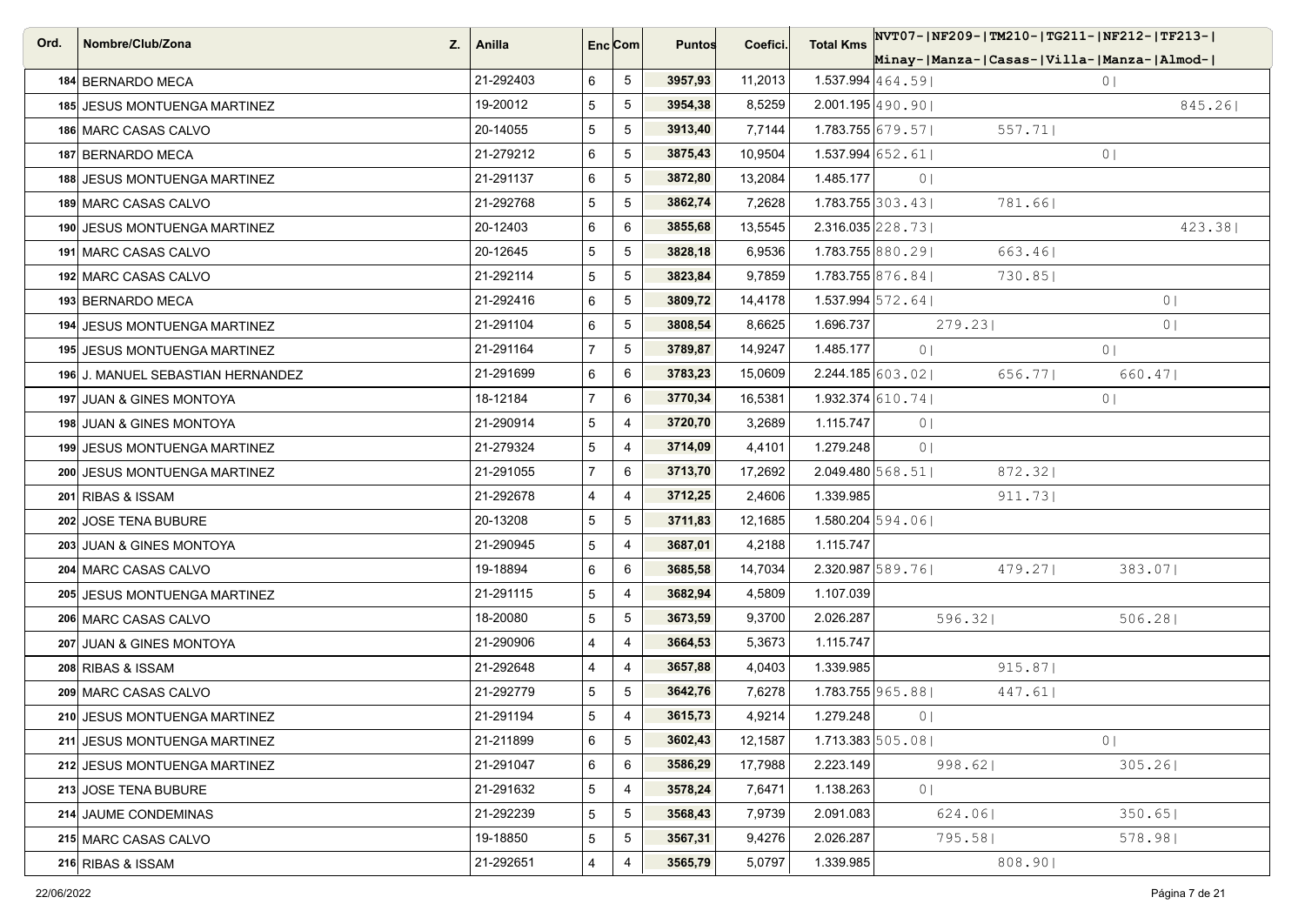| Ord. | Nombre/Club/Zona<br>Z.            | Anilla    |                | Enc Com         | <b>Puntos</b> | Coefici. | <b>Total Kms</b>                 |                | NVT07- NF209- TM210- TG211- NF212- TF213- |                |
|------|-----------------------------------|-----------|----------------|-----------------|---------------|----------|----------------------------------|----------------|-------------------------------------------|----------------|
|      |                                   |           |                |                 |               |          |                                  |                | Minay- Manza- Casas- Villa- Manza- Almod- |                |
|      | 184 BERNARDO MECA                 | 21-292403 | 6              | 5               | 3957,93       | 11,2013  | 1.537.994 $ 464.59 $             |                |                                           | $0 \mid$       |
|      | 185 JESUS MONTUENGA MARTINEZ      | 19-20012  | 5              | 5               | 3954,38       | 8,5259   | $2.001.195$ 490.90               |                |                                           | 845.26         |
|      | 186 MARC CASAS CALVO              | 20-14055  | 5              | $\sqrt{5}$      | 3913,40       | 7,7144   | $1.783.755$ 679.57               |                | 557.71                                    |                |
|      | 187 BERNARDO MECA                 | 21-279212 | 6              | 5               | 3875,43       | 10,9504  | $1.537.994$ 652.61               |                |                                           | 0 <sup>1</sup> |
|      | 188 JESUS MONTUENGA MARTINEZ      | 21-291137 | 6              | 5               | 3872,80       | 13,2084  | 1.485.177                        | 0 <sub>1</sub> |                                           |                |
|      | 189 MARC CASAS CALVO              | 21-292768 | 5              | $5\phantom{.0}$ | 3862,74       | 7,2628   | $1.783.755$ 303.43               |                | 781.66                                    |                |
|      | 190 JESUS MONTUENGA MARTINEZ      | 20-12403  | 6              | 6               | 3855,68       | 13,5545  | $2.316.035$ $ 228.73 $           |                |                                           | 423.381        |
|      | 191 MARC CASAS CALVO              | 20-12645  | 5              | 5               | 3828,18       | 6,9536   | $1.783.755$ 880.29               |                | 663.461                                   |                |
|      | 192 MARC CASAS CALVO              | 21-292114 | 5              | 5               | 3823,84       | 9,7859   | $1.783.755$ 876.84               |                | 730.85                                    |                |
|      | 193 BERNARDO MECA                 | 21-292416 | 6              | 5               | 3809,72       | 14,4178  | 1.537.994 $\vert$ 572.64 $\vert$ |                |                                           | 0 <sup>1</sup> |
|      | 194 JESUS MONTUENGA MARTINEZ      | 21-291104 | 6              | 5               | 3808,54       | 8,6625   | 1.696.737                        |                | 279.23                                    | 0 <sub>1</sub> |
|      | 195 JESUS MONTUENGA MARTINEZ      | 21-291164 | $\overline{7}$ | $5\phantom{.0}$ | 3789,87       | 14,9247  | 1.485.177                        | 0 <sup>1</sup> |                                           | 0 <sup>1</sup> |
|      | 196 J. MANUEL SEBASTIAN HERNANDEZ | 21-291699 | 6              | 6               | 3783,23       | 15,0609  | $2.244.185$ 603.02               |                | 656.77                                    | 660.471        |
|      | 197 JUAN & GINES MONTOYA          | 18-12184  | 7 <sup>1</sup> | 6               | 3770,34       | 16,5381  | $1.932.374$ 610.74               |                |                                           | 0              |
|      | 198 JUAN & GINES MONTOYA          | 21-290914 | 5              | $\overline{4}$  | 3720,70       | 3,2689   | 1.115.747                        | 0 <sub>1</sub> |                                           |                |
|      | 199 JESUS MONTUENGA MARTINEZ      | 21-279324 | 5              | 4               | 3714,09       | 4,4101   | 1.279.248                        | 0 <sup>1</sup> |                                           |                |
|      | 200 JESUS MONTUENGA MARTINEZ      | 21-291055 | 7 <sup>1</sup> | 6               | 3713,70       | 17,2692  | $2.049.480\,568.51$              |                | 872.32                                    |                |
|      | 201 RIBAS & ISSAM                 | 21-292678 | 4              | $\overline{4}$  | 3712,25       | 2,4606   | 1.339.985                        |                | 911.73                                    |                |
|      | 202 JOSE TENA BUBURE              | 20-13208  | 5              | 5               | 3711,83       | 12,1685  | $1.580.204$ 594.06               |                |                                           |                |
|      | 203 JUAN & GINES MONTOYA          | 21-290945 | 5              | $\overline{4}$  | 3687,01       | 4,2188   | 1.115.747                        |                |                                           |                |
|      | 204 MARC CASAS CALVO              | 19-18894  | 6              | 6               | 3685,58       | 14,7034  | 2.320.987 589.76                 |                | 479.27                                    | 383.07         |
|      | 205 JESUS MONTUENGA MARTINEZ      | 21-291115 | 5              | $\overline{4}$  | 3682,94       | 4,5809   | 1.107.039                        |                |                                           |                |
|      | 206 MARC CASAS CALVO              | 18-20080  | 5              | 5               | 3673,59       | 9,3700   | 2.026.287                        |                | 596.32                                    | 506.28         |
|      | 207 JUAN & GINES MONTOYA          | 21-290906 | $\overline{4}$ | $\overline{4}$  | 3664,53       | 5,3673   | 1.115.747                        |                |                                           |                |
|      | 208 RIBAS & ISSAM                 | 21-292648 | $\overline{4}$ | $\overline{4}$  | 3657,88       | 4,0403   | 1.339.985                        |                | 915.87                                    |                |
|      | 209 MARC CASAS CALVO              | 21-292779 | 5              | 5               | 3642,76       | 7,6278   | 1.783.755 965.88                 |                | 447.61                                    |                |
|      | 210 JESUS MONTUENGA MARTINEZ      | 21-291194 | 5              | $\overline{4}$  | 3615,73       | 4,9214   | 1.279.248                        | 0 <sup>1</sup> |                                           |                |
|      | 211 JESUS MONTUENGA MARTINEZ      | 21-211899 | 6              | $5\phantom{.0}$ | 3602,43       | 12,1587  | $1.713.383$ 505.08               |                |                                           | 0 <sup>1</sup> |
|      | 212 JESUS MONTUENGA MARTINEZ      | 21-291047 | 6              | 6               | 3586,29       | 17,7988  | 2.223.149                        |                | 998.62                                    | 305.26         |
|      | 213 JOSE TENA BUBURE              | 21-291632 | 5              | $\overline{4}$  | 3578,24       | 7,6471   | 1.138.263                        | 0 <sub>1</sub> |                                           |                |
|      | 214 JAUME CONDEMINAS              | 21-292239 | 5              | 5               | 3568,43       | 7,9739   | 2.091.083                        |                | 624.06                                    | 350.65         |
|      | 215 MARC CASAS CALVO              | 19-18850  | 5              | 5               | 3567,31       | 9,4276   | 2.026.287                        |                | 795.58                                    | 578.98         |
|      | 216 RIBAS & ISSAM                 | 21-292651 | 4              | $\overline{4}$  | 3565,79       | 5,0797   | 1.339.985                        |                | 808.90                                    |                |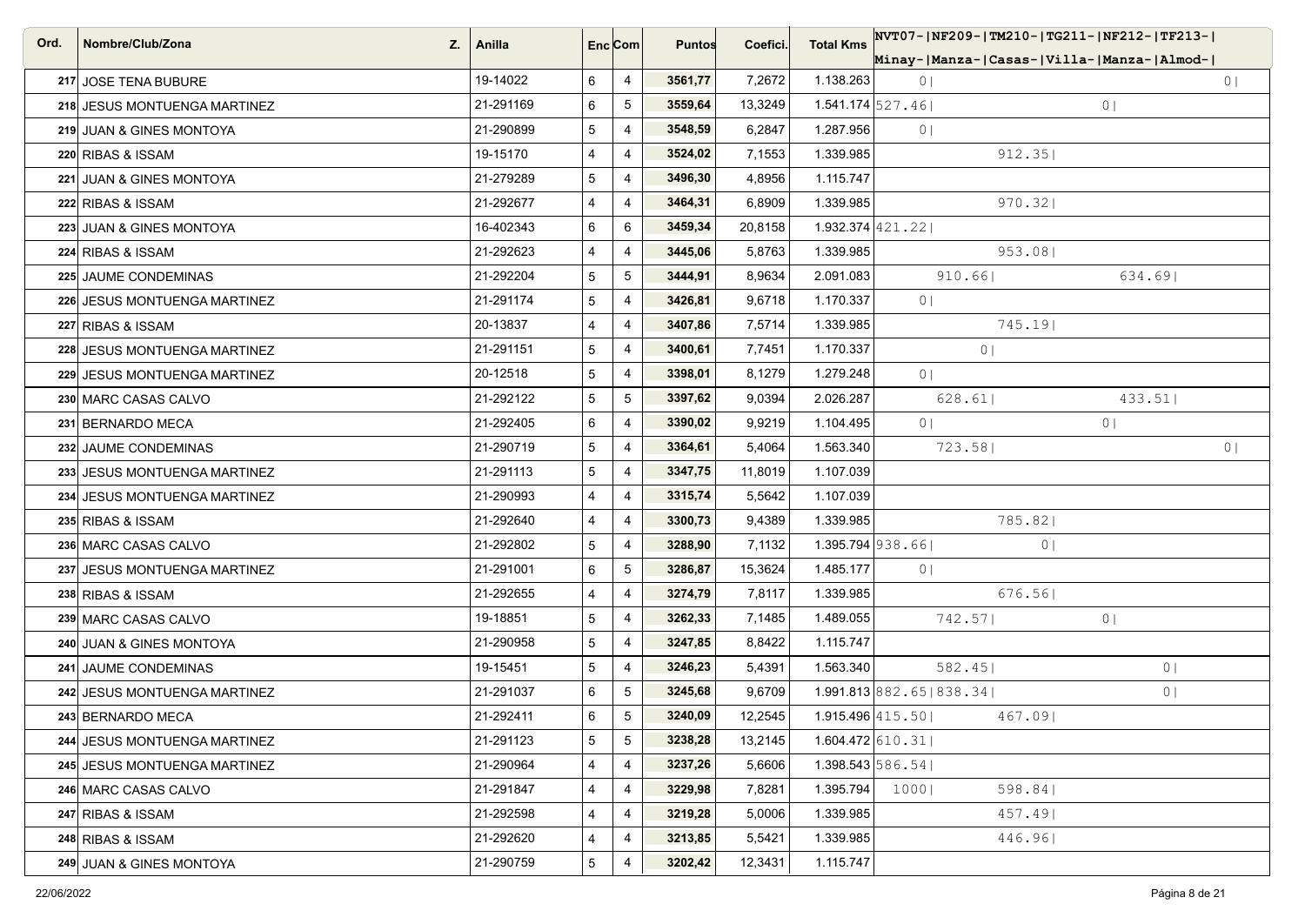| Ord. | Nombre/Club/Zona<br>Z.       | Anilla    |   | Enc <sub>i</sub> Com | <b>Puntos</b> | Coefici. | <b>Total Kms</b>             | NVT07- NF209- TM210- TG211- NF212- TF213- |                |
|------|------------------------------|-----------|---|----------------------|---------------|----------|------------------------------|-------------------------------------------|----------------|
|      |                              |           |   |                      |               |          |                              | Minay- Manza- Casas- Villa- Manza- Almod- |                |
|      | 217 JOSE TENA BUBURE         | 19-14022  | 6 | 4                    | 3561,77       | 7,2672   | 1.138.263                    | 0 <sub>1</sub>                            | 0 <sub>1</sub> |
|      | 218 JESUS MONTUENGA MARTINEZ | 21-291169 | 6 | $5\phantom{.0}$      | 3559,64       | 13,3249  | $1.541.174$ 527.46           |                                           | 0              |
|      | 219 JUAN & GINES MONTOYA     | 21-290899 | 5 | 4                    | 3548,59       | 6,2847   | 1.287.956                    | 0 <sub>1</sub>                            |                |
|      | 220 RIBAS & ISSAM            | 19-15170  | 4 | 4                    | 3524,02       | 7,1553   | 1.339.985                    | 912.35                                    |                |
|      | 221 JUAN & GINES MONTOYA     | 21-279289 | 5 | 4                    | 3496,30       | 4,8956   | 1.115.747                    |                                           |                |
|      | 222 RIBAS & ISSAM            | 21-292677 | 4 | $\overline{4}$       | 3464,31       | 6,8909   | 1.339.985                    | 970.32                                    |                |
|      | 223 JUAN & GINES MONTOYA     | 16-402343 | 6 | 6                    | 3459,34       | 20,8158  | $1.932.374$ 421.22           |                                           |                |
|      | 224 RIBAS & ISSAM            | 21-292623 | 4 | 4                    | 3445,06       | 5,8763   | 1.339.985                    | 953.081                                   |                |
|      | 225 JAUME CONDEMINAS         | 21-292204 | 5 | 5                    | 3444,91       | 8,9634   | 2.091.083                    | 910.66                                    | 634.69         |
|      | 226 JESUS MONTUENGA MARTINEZ | 21-291174 | 5 | 4                    | 3426,81       | 9,6718   | 1.170.337                    | 0 <sup>1</sup>                            |                |
|      | 227 RIBAS & ISSAM            | 20-13837  | 4 | $\overline{4}$       | 3407,86       | 7,5714   | 1.339.985                    | 745.19                                    |                |
|      | 228 JESUS MONTUENGA MARTINEZ | 21-291151 | 5 | $\overline{4}$       | 3400,61       | 7,7451   | 1.170.337                    | 0 <sub>1</sub>                            |                |
|      | 229 JESUS MONTUENGA MARTINEZ | 20-12518  | 5 | 4                    | 3398,01       | 8,1279   | 1.279.248                    | 0 <sup>1</sup>                            |                |
|      | 230 MARC CASAS CALVO         | 21-292122 | 5 | $\,$ 5 $\,$          | 3397,62       | 9,0394   | 2.026.287                    | 628.61                                    | 433.51         |
|      | 231 BERNARDO MECA            | 21-292405 | 6 | $\overline{4}$       | 3390,02       | 9,9219   | 1.104.495                    | 0 <sub>1</sub>                            | 0              |
|      | 232 JAUME CONDEMINAS         | 21-290719 | 5 | 4                    | 3364,61       | 5,4064   | 1.563.340                    | 723.58                                    | 0 <sub>1</sub> |
|      | 233 JESUS MONTUENGA MARTINEZ | 21-291113 | 5 | $\overline{4}$       | 3347,75       | 11,8019  | 1.107.039                    |                                           |                |
|      | 234 JESUS MONTUENGA MARTINEZ | 21-290993 | 4 | 4                    | 3315,74       | 5,5642   | 1.107.039                    |                                           |                |
|      | 235 RIBAS & ISSAM            | 21-292640 | 4 | 4                    | 3300,73       | 9,4389   | 1.339.985                    | 785.82                                    |                |
|      | 236 MARC CASAS CALVO         | 21-292802 | 5 | 4                    | 3288,90       | 7,1132   | $1.395.794$ 938.66           | 0 <sub>1</sub>                            |                |
|      | 237 JESUS MONTUENGA MARTINEZ | 21-291001 | 6 | 5                    | 3286,87       | 15,3624  | 1.485.177                    | 0 <sub>1</sub>                            |                |
|      | 238 RIBAS & ISSAM            | 21-292655 | 4 | $\overline{4}$       | 3274,79       | 7,8117   | 1.339.985                    | 676.56                                    |                |
|      | 239 MARC CASAS CALVO         | 19-18851  | 5 | 4                    | 3262,33       | 7,1485   | 1.489.055                    | 742.57                                    | 0              |
|      | 240 JUAN & GINES MONTOYA     | 21-290958 | 5 | $\overline{4}$       | 3247,85       | 8,8422   | 1.115.747                    |                                           |                |
|      | 241 JAUME CONDEMINAS         | 19-15451  | 5 | 4                    | 3246,23       | 5,4391   | 1.563.340                    | 582.45                                    | 0 <sub>1</sub> |
|      | 242 JESUS MONTUENGA MARTINEZ | 21-291037 | 6 | 5                    | 3245,68       | 9,6709   |                              | 1.991.813 882.65 838.34                   | 0 <sup>1</sup> |
|      | 243 BERNARDO MECA            | 21-292411 | 6 | 5                    | 3240,09       | 12,2545  | $1.915.496 \mid 415.50 \mid$ | 467.091                                   |                |
|      | 244 JESUS MONTUENGA MARTINEZ | 21-291123 | 5 | $5\phantom{.0}$      | 3238,28       | 13,2145  | $1.604.472$ 610.31           |                                           |                |
|      | 245 JESUS MONTUENGA MARTINEZ | 21-290964 | 4 | 4                    | 3237,26       | 5,6606   | $1.398.543\,586.54$          |                                           |                |
|      | 246 MARC CASAS CALVO         | 21-291847 | 4 | 4                    | 3229,98       | 7,8281   | 1.395.794                    | 1000 <br>598.84                           |                |
|      | 247 RIBAS & ISSAM            | 21-292598 | 4 | 4                    | 3219,28       | 5,0006   | 1.339.985                    | 457.49                                    |                |
|      | 248 RIBAS & ISSAM            | 21-292620 | 4 | 4                    | 3213,85       | 5,5421   | 1.339.985                    | 446.96                                    |                |
|      | 249 JUAN & GINES MONTOYA     | 21-290759 | 5 | 4                    | 3202,42       | 12,3431  | 1.115.747                    |                                           |                |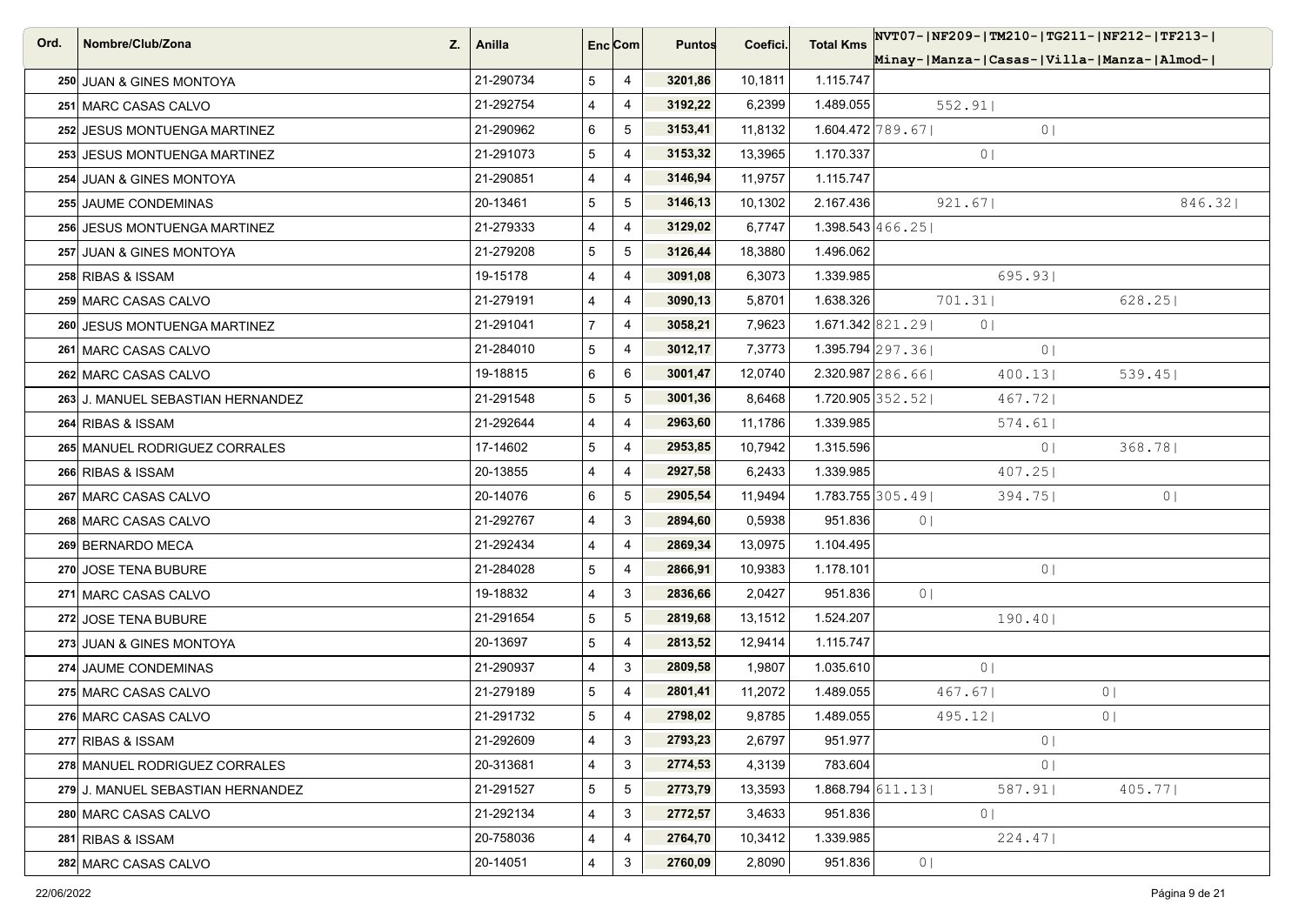| Ord. | Nombre/Club/Zona<br>Z.            | Anilla    | Enc Com        |                 | <b>Puntos</b> | Coefici. | <b>Total Kms</b>             | NVT07- NF209- TM210- TG211- NF212- TF213- |                |
|------|-----------------------------------|-----------|----------------|-----------------|---------------|----------|------------------------------|-------------------------------------------|----------------|
|      |                                   |           |                |                 |               |          |                              | Minay- Manza- Casas- Villa- Manza- Almod- |                |
|      | 250 JUAN & GINES MONTOYA          | 21-290734 | 5              | $\overline{4}$  | 3201,86       | 10,1811  | 1.115.747                    |                                           |                |
|      | 251 MARC CASAS CALVO              | 21-292754 | 4              | $\overline{4}$  | 3192,22       | 6,2399   | 1.489.055                    | 552.91                                    |                |
|      | 252 JESUS MONTUENGA MARTINEZ      | 21-290962 | 6              | 5               | 3153,41       | 11,8132  | $1.604.472 \mid 789.67 \mid$ | 0 <sub>1</sub>                            |                |
|      | 253 JESUS MONTUENGA MARTINEZ      | 21-291073 | 5              | $\overline{4}$  | 3153,32       | 13,3965  | 1.170.337                    | 0 <sup>1</sup>                            |                |
|      | 254 JUAN & GINES MONTOYA          | 21-290851 | $\overline{4}$ | 4               | 3146,94       | 11,9757  | 1.115.747                    |                                           |                |
|      | 255 JAUME CONDEMINAS              | 20-13461  | 5              | $\sqrt{5}$      | 3146,13       | 10,1302  | 2.167.436                    | 921.67                                    | 846.32         |
|      | 256 JESUS MONTUENGA MARTINEZ      | 21-279333 | 4              | $\overline{4}$  | 3129,02       | 6,7747   | $1.398.543 \mid 466.25 \mid$ |                                           |                |
|      | 257 JUAN & GINES MONTOYA          | 21-279208 | 5              | 5               | 3126,44       | 18,3880  | 1.496.062                    |                                           |                |
|      | 258 RIBAS & ISSAM                 | 19-15178  | $\overline{4}$ | $\overline{4}$  | 3091,08       | 6,3073   | 1.339.985                    | 695.931                                   |                |
|      | 259 MARC CASAS CALVO              | 21-279191 | 4              | $\overline{4}$  | 3090,13       | 5,8701   | 1.638.326                    | 701.31                                    | 628.25         |
|      | 260 JESUS MONTUENGA MARTINEZ      | 21-291041 | $\overline{7}$ | $\overline{4}$  | 3058,21       | 7,9623   | 1.671.342 821.29             | 0 <sup>1</sup>                            |                |
|      | 261 MARC CASAS CALVO              | 21-284010 | 5              | $\overline{4}$  | 3012,17       | 7,3773   |                              | $1.395.794$ 297.36<br>0 <sub>1</sub>      |                |
|      | 262 MARC CASAS CALVO              | 19-18815  | 6              | 6               | 3001,47       | 12,0740  |                              | $2.320.987$ 286.66<br>400.13              | 539.45         |
|      | 263 J. MANUEL SEBASTIAN HERNANDEZ | 21-291548 | 5              | 5               | 3001,36       | 8,6468   | 1.720.905 352.52             | 467.721                                   |                |
|      | 264 RIBAS & ISSAM                 | 21-292644 | $\overline{4}$ | $\overline{4}$  | 2963,60       | 11,1786  | 1.339.985                    | 574.61                                    |                |
|      | 265 MANUEL RODRIGUEZ CORRALES     | 17-14602  | 5              | 4               | 2953,85       | 10,7942  | 1.315.596                    | 0 <sub>1</sub>                            | 368.78         |
|      | 266 RIBAS & ISSAM                 | 20-13855  | $\overline{4}$ | $\overline{4}$  | 2927,58       | 6,2433   | 1.339.985                    | 407.25                                    |                |
|      | 267 MARC CASAS CALVO              | 20-14076  | 6              | $5\phantom{.0}$ | 2905,54       | 11,9494  |                              | $1.783.755$ 305.49<br>394.75              | $0 \mid$       |
|      | 268 MARC CASAS CALVO              | 21-292767 | $\overline{4}$ | 3               | 2894,60       | 0,5938   | 951.836                      | 0 <sup>1</sup>                            |                |
|      | 269 BERNARDO MECA                 | 21-292434 | $\overline{4}$ | $\overline{4}$  | 2869,34       | 13,0975  | 1.104.495                    |                                           |                |
|      | 270 JOSE TENA BUBURE              | 21-284028 | 5              | $\overline{4}$  | 2866,91       | 10,9383  | 1.178.101                    | 0 <sub>1</sub>                            |                |
|      | 271 MARC CASAS CALVO              | 19-18832  | $\overline{4}$ | $\mathbf{3}$    | 2836,66       | 2,0427   | 951.836                      | 0 <sub>1</sub>                            |                |
|      | 272 JOSE TENA BUBURE              | 21-291654 | 5              | 5               | 2819,68       | 13,1512  | 1.524.207                    | 190.40                                    |                |
|      | 273 JUAN & GINES MONTOYA          | 20-13697  | 5              | $\overline{4}$  | 2813,52       | 12,9414  | 1.115.747                    |                                           |                |
|      | 274 JAUME CONDEMINAS              | 21-290937 | 4              | 3               | 2809,58       | 1,9807   | 1.035.610                    | 0 <sup>1</sup>                            |                |
|      | 275 MARC CASAS CALVO              | 21-279189 | 5              | $\overline{4}$  | 2801,41       | 11,2072  | 1.489.055                    | 467.67                                    | 0 <sup>1</sup> |
|      | 276 MARC CASAS CALVO              | 21-291732 | 5              | $\overline{4}$  | 2798,02       | 9,8785   | 1.489.055                    | 495.12                                    | 0 <sup>1</sup> |
|      | 277 RIBAS & ISSAM                 | 21-292609 | $\overline{4}$ | 3               | 2793,23       | 2,6797   | 951.977                      | 0 <sub>1</sub>                            |                |
|      | 278 MANUEL RODRIGUEZ CORRALES     | 20-313681 | 4              | 3               | 2774,53       | 4,3139   | 783.604                      | 0 <sub>1</sub>                            |                |
|      | 279 J. MANUEL SEBASTIAN HERNANDEZ | 21-291527 | 5              | $5\phantom{.0}$ | 2773,79       | 13,3593  | $1.868.794$ 611.13           | 587.91                                    | 405.77         |
|      | 280 MARC CASAS CALVO              | 21-292134 | 4              | 3               | 2772,57       | 3,4633   | 951.836                      | 0 <sup>1</sup>                            |                |
|      | 281 RIBAS & ISSAM                 | 20-758036 | 4              | $\overline{4}$  | 2764,70       | 10,3412  | 1.339.985                    | 224.47                                    |                |
|      | 282 MARC CASAS CALVO              | 20-14051  | 4              | 3               | 2760,09       | 2,8090   | 951.836                      | 0 <sub>1</sub>                            |                |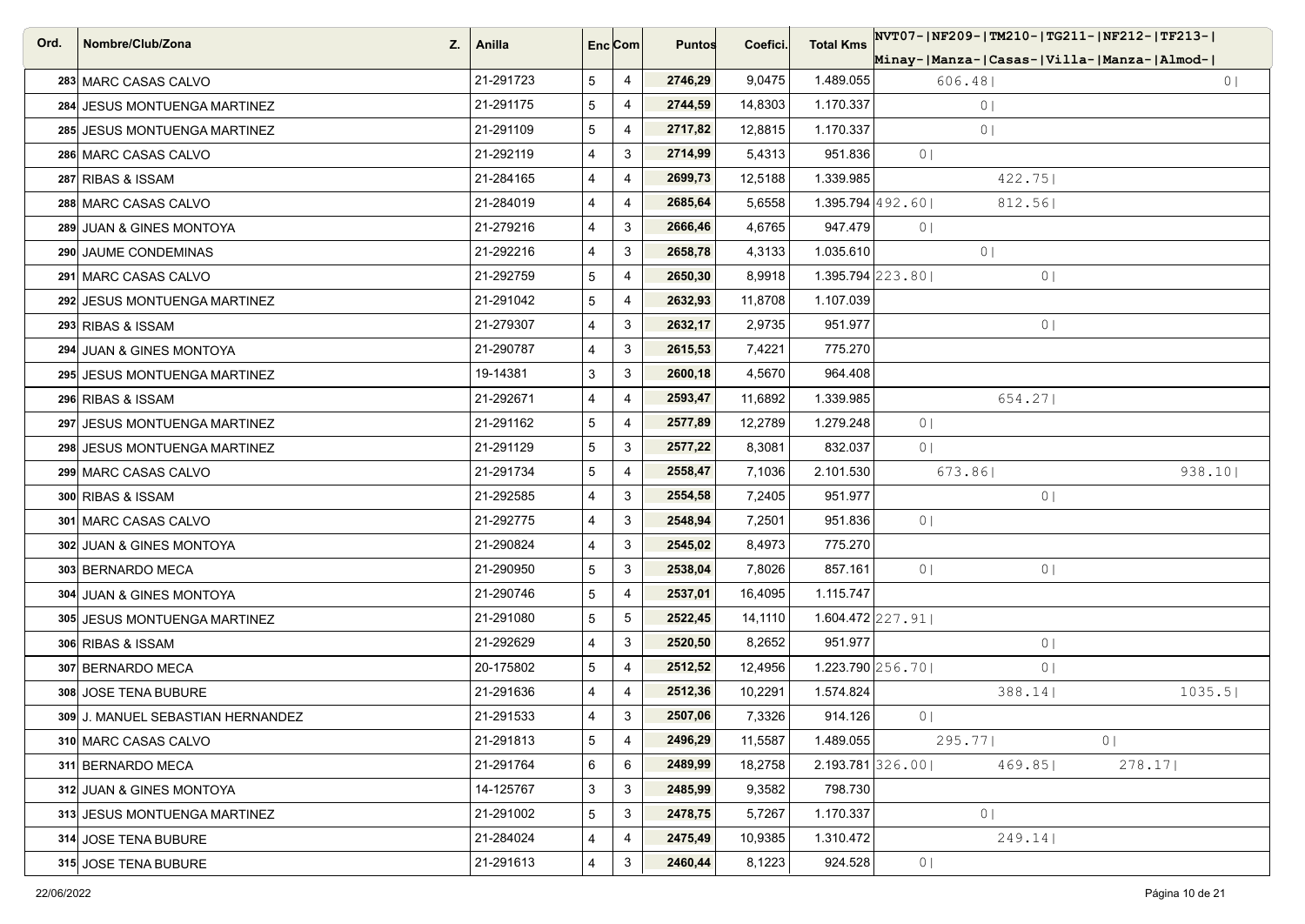| Ord. | Nombre/Club/Zona<br>Z.            | Anilla    |   | Enc <sub>i</sub> Com | <b>Puntos</b> | Coefici. | <b>Total Kms</b>   | NVT07- NF209- TM210- TG211- NF212- TF213- |                |
|------|-----------------------------------|-----------|---|----------------------|---------------|----------|--------------------|-------------------------------------------|----------------|
|      |                                   |           |   |                      |               |          |                    | Minay- Manza- Casas- Villa- Manza- Almod- |                |
|      | 283 MARC CASAS CALVO              | 21-291723 | 5 | 4                    | 2746,29       | 9,0475   | 1.489.055          | 606.48                                    | 0 <sub>1</sub> |
|      | 284 JESUS MONTUENGA MARTINEZ      | 21-291175 | 5 | $\overline{4}$       | 2744,59       | 14,8303  | 1.170.337          | 0 <sup>1</sup>                            |                |
|      | 285 JESUS MONTUENGA MARTINEZ      | 21-291109 | 5 | 4                    | 2717,82       | 12,8815  | 1.170.337          | 0 <sup>1</sup>                            |                |
|      | 286 MARC CASAS CALVO              | 21-292119 | 4 | 3                    | 2714,99       | 5,4313   | 951.836            | 0 <sub>1</sub>                            |                |
|      | 287 RIBAS & ISSAM                 | 21-284165 | 4 | 4                    | 2699,73       | 12,5188  | 1.339.985          | 422.75                                    |                |
|      | 288 MARC CASAS CALVO              | 21-284019 | 4 | $\overline{4}$       | 2685,64       | 5,6558   | $1.395.794$ 492.60 | 812.561                                   |                |
|      | 289 JUAN & GINES MONTOYA          | 21-279216 | 4 | 3                    | 2666,46       | 4,6765   | 947.479            | 0 <sub>1</sub>                            |                |
|      | 290 JAUME CONDEMINAS              | 21-292216 | 4 | 3                    | 2658,78       | 4,3133   | 1.035.610          | 0 <sup>1</sup>                            |                |
|      | 291 MARC CASAS CALVO              | 21-292759 | 5 | $\overline{4}$       | 2650,30       | 8,9918   | $1.395.794$ 223.80 | 0 <sub>1</sub>                            |                |
|      | 292 JESUS MONTUENGA MARTINEZ      | 21-291042 | 5 | $\overline{4}$       | 2632,93       | 11,8708  | 1.107.039          |                                           |                |
|      | 293 RIBAS & ISSAM                 | 21-279307 | 4 | 3                    | 2632,17       | 2,9735   | 951.977            | 0 <sub>1</sub>                            |                |
|      | 294 JUAN & GINES MONTOYA          | 21-290787 | 4 | $\mathbf{3}$         | 2615,53       | 7,4221   | 775.270            |                                           |                |
|      | 295 JESUS MONTUENGA MARTINEZ      | 19-14381  | 3 | 3                    | 2600,18       | 4,5670   | 964.408            |                                           |                |
|      | 296 RIBAS & ISSAM                 | 21-292671 | 4 | $\overline{4}$       | 2593,47       | 11,6892  | 1.339.985          | 654.27                                    |                |
|      | 297 JESUS MONTUENGA MARTINEZ      | 21-291162 | 5 | 4                    | 2577,89       | 12,2789  | 1.279.248          | 0 <sub>1</sub>                            |                |
|      | 298 JESUS MONTUENGA MARTINEZ      | 21-291129 | 5 | 3                    | 2577,22       | 8,3081   | 832.037            | 0 <sub>1</sub>                            |                |
|      | 299 MARC CASAS CALVO              | 21-291734 | 5 | $\overline{4}$       | 2558,47       | 7,1036   | 2.101.530          | 673.86                                    | 938.10         |
|      | 300 RIBAS & ISSAM                 | 21-292585 | 4 | 3                    | 2554,58       | 7,2405   | 951.977            | 0 <sub>1</sub>                            |                |
|      | 301 MARC CASAS CALVO              | 21-292775 | 4 | 3                    | 2548,94       | 7,2501   | 951.836            | 0 <sub>1</sub>                            |                |
|      | 302 JUAN & GINES MONTOYA          | 21-290824 | 4 | 3                    | 2545,02       | 8,4973   | 775.270            |                                           |                |
|      | 303 BERNARDO MECA                 | 21-290950 | 5 | 3                    | 2538,04       | 7,8026   | 857.161            | 0 <sub>1</sub><br>0 <sub>1</sub>          |                |
|      | 304 JUAN & GINES MONTOYA          | 21-290746 | 5 | $\overline{4}$       | 2537,01       | 16,4095  | 1.115.747          |                                           |                |
|      | 305 JESUS MONTUENGA MARTINEZ      | 21-291080 | 5 | 5                    | 2522,45       | 14,1110  | $1.604.472$ 227.91 |                                           |                |
|      | 306 RIBAS & ISSAM                 | 21-292629 | 4 | 3                    | 2520,50       | 8,2652   | 951.977            | 0 <sub>1</sub>                            |                |
|      | 307 BERNARDO MECA                 | 20-175802 | 5 | $\overline{4}$       | 2512,52       | 12,4956  | 1.223.790 256.70   | 0 <sub>1</sub>                            |                |
|      | 308 JOSE TENA BUBURE              | 21-291636 | 4 | $\overline{4}$       | 2512,36       | 10,2291  | 1.574.824          | 388.14                                    | 1035.5         |
|      | 309 J. MANUEL SEBASTIAN HERNANDEZ | 21-291533 | 4 | 3                    | 2507,06       | 7,3326   | 914.126            | 0 <sub>1</sub>                            |                |
|      | 310 MARC CASAS CALVO              | 21-291813 | 5 | $\overline{4}$       | 2496,29       | 11,5587  | 1.489.055          | $295.77$                                  | 0 <sub>1</sub> |
|      | 311 BERNARDO MECA                 | 21-291764 | 6 | 6                    | 2489,99       | 18,2758  | $2.193.781$ 326.00 | 469.85                                    | 278.17         |
|      | 312 JUAN & GINES MONTOYA          | 14-125767 | 3 | $\mathbf{3}$         | 2485,99       | 9,3582   | 798.730            |                                           |                |
|      | 313 JESUS MONTUENGA MARTINEZ      | 21-291002 | 5 | 3                    | 2478,75       | 5,7267   | 1.170.337          | 0 <sup>1</sup>                            |                |
|      | 314 JOSE TENA BUBURE              | 21-284024 | 4 | $\overline{4}$       | 2475,49       | 10,9385  | 1.310.472          | 249.14                                    |                |
|      | 315 JOSE TENA BUBURE              | 21-291613 | 4 | 3                    | 2460,44       | 8,1223   | 924.528            | 0 <sub>1</sub>                            |                |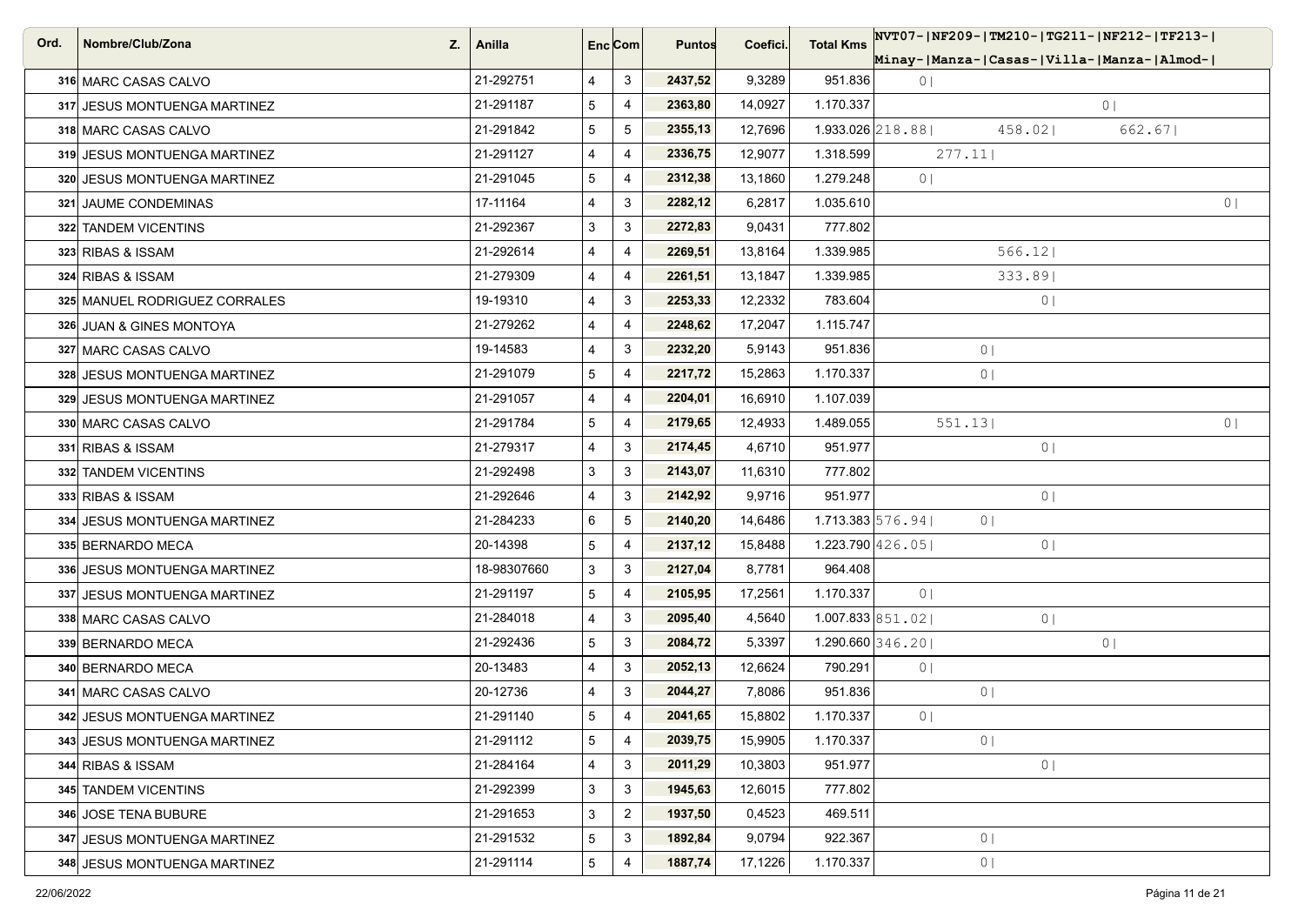| Ord. | Nombre/Club/Zona<br>Z.        | Anilla      |   | Enc <sub>i</sub> Com | <b>Puntos</b> | Coefici. | <b>Total Kms</b>     | NVT07- NF209- TM210- TG211- NF212- TF213- |                |  |
|------|-------------------------------|-------------|---|----------------------|---------------|----------|----------------------|-------------------------------------------|----------------|--|
|      |                               |             |   |                      |               |          |                      | Minay- Manza- Casas- Villa- Manza- Almod- |                |  |
|      | 316 MARC CASAS CALVO          | 21-292751   | 4 | 3                    | 2437,52       | 9,3289   | 951.836              | 0 <sub>1</sub>                            |                |  |
|      | 317 JESUS MONTUENGA MARTINEZ  | 21-291187   | 5 | $\overline{4}$       | 2363,80       | 14,0927  | 1.170.337            |                                           | $0 \mid$       |  |
|      | 318 MARC CASAS CALVO          | 21-291842   | 5 | 5                    | 2355,13       | 12,7696  | $1.933.026$ 218.88   | 458.02                                    | 662.67         |  |
|      | 319 JESUS MONTUENGA MARTINEZ  | 21-291127   | 4 | $\overline{4}$       | 2336,75       | 12,9077  | 1.318.599            | 277.11                                    |                |  |
|      | 320 JESUS MONTUENGA MARTINEZ  | 21-291045   | 5 | $\overline{4}$       | 2312,38       | 13,1860  | 1.279.248            | 0 <sub>1</sub>                            |                |  |
|      | 321 JAUME CONDEMINAS          | 17-11164    | 4 | 3                    | 2282,12       | 6,2817   | 1.035.610            |                                           | 0 <sup>1</sup> |  |
|      | 322 TANDEM VICENTINS          | 21-292367   | 3 | 3                    | 2272,83       | 9,0431   | 777.802              |                                           |                |  |
|      | 323 RIBAS & ISSAM             | 21-292614   | 4 | 4                    | 2269,51       | 13,8164  | 1.339.985            | 566.12                                    |                |  |
|      | 324 RIBAS & ISSAM             | 21-279309   | 4 | $\overline{4}$       | 2261,51       | 13,1847  | 1.339.985            | 333.89                                    |                |  |
|      | 325 MANUEL RODRIGUEZ CORRALES | 19-19310    | 4 | 3                    | 2253,33       | 12,2332  | 783.604              | 0 <sub>1</sub>                            |                |  |
|      | 326 JUAN & GINES MONTOYA      | 21-279262   | 4 | $\overline{4}$       | 2248,62       | 17,2047  | 1.115.747            |                                           |                |  |
|      | 327 MARC CASAS CALVO          | 19-14583    | 4 | 3                    | 2232,20       | 5,9143   | 951.836              | 0 <sub>1</sub>                            |                |  |
|      | 328 JESUS MONTUENGA MARTINEZ  | 21-291079   | 5 | 4                    | 2217,72       | 15,2863  | 1.170.337            | 0 <sub>1</sub>                            |                |  |
|      | 329 JESUS MONTUENGA MARTINEZ  | 21-291057   | 4 | $\overline{4}$       | 2204,01       | 16,6910  | 1.107.039            |                                           |                |  |
|      | 330 MARC CASAS CALVO          | 21-291784   | 5 | $\overline{4}$       | 2179,65       | 12,4933  | 1.489.055            | 551.13                                    | 0 <sub>1</sub> |  |
|      | 331 RIBAS & ISSAM             | 21-279317   | 4 | 3                    | 2174,45       | 4,6710   | 951.977              | 0 <sub>1</sub>                            |                |  |
|      | 332 TANDEM VICENTINS          | 21-292498   | 3 | 3                    | 2143,07       | 11,6310  | 777.802              |                                           |                |  |
|      | 333 RIBAS & ISSAM             | 21-292646   | 4 | 3                    | 2142,92       | 9,9716   | 951.977              | 0 <sup>1</sup>                            |                |  |
|      | 334 JESUS MONTUENGA MARTINEZ  | 21-284233   | 6 | 5                    | 2140,20       | 14,6486  | $1.713.383\,576.94$  | 0 <sup>1</sup>                            |                |  |
|      | 335 BERNARDO MECA             | 20-14398    | 5 | 4                    | 2137,12       | 15,8488  | 1.223.790 $ 426.05 $ | 0 <sub>1</sub>                            |                |  |
|      | 336 JESUS MONTUENGA MARTINEZ  | 18-98307660 | 3 | 3                    | 2127,04       | 8,7781   | 964.408              |                                           |                |  |
|      | 337 JESUS MONTUENGA MARTINEZ  | 21-291197   | 5 | $\overline{4}$       | 2105,95       | 17,2561  | 1.170.337            | 0 <sub>1</sub>                            |                |  |
|      | 338 MARC CASAS CALVO          | 21-284018   | 4 | 3                    | 2095,40       | 4,5640   | 1.007.833 851.02     | 0 <sub>1</sub>                            |                |  |
|      | 339 BERNARDO MECA             | 21-292436   | 5 | 3                    | 2084,72       | 5,3397   | $1.290.660$ 346.20   |                                           | 0              |  |
|      | 340 BERNARDO MECA             | 20-13483    | 4 | 3                    | 2052,13       | 12,6624  | 790.291              | 0 <sub>1</sub>                            |                |  |
|      | 341 MARC CASAS CALVO          | 20-12736    | 4 | 3                    | 2044,27       | 7,8086   | 951.836              | 0 <sup>1</sup>                            |                |  |
|      | 342 JESUS MONTUENGA MARTINEZ  | 21-291140   | 5 | $\overline{4}$       | 2041,65       | 15,8802  | 1.170.337            | 0 <sub>1</sub>                            |                |  |
|      | 343 JESUS MONTUENGA MARTINEZ  | 21-291112   | 5 | $\overline{4}$       | 2039,75       | 15,9905  | 1.170.337            | 0 <sub>1</sub>                            |                |  |
|      | 344 RIBAS & ISSAM             | 21-284164   | 4 | 3                    | 2011,29       | 10,3803  | 951.977              | 0 <sub>1</sub>                            |                |  |
|      | 345 TANDEM VICENTINS          | 21-292399   | 3 | 3                    | 1945,63       | 12,6015  | 777.802              |                                           |                |  |
|      | 346 JOSE TENA BUBURE          | 21-291653   | 3 | $\overline{2}$       | 1937,50       | 0,4523   | 469.511              |                                           |                |  |
|      | 347 JESUS MONTUENGA MARTINEZ  | 21-291532   | 5 | 3                    | 1892,84       | 9,0794   | 922.367              | 0 <sup>1</sup>                            |                |  |
|      | 348 JESUS MONTUENGA MARTINEZ  | 21-291114   | 5 | 4                    | 1887,74       | 17,1226  | 1.170.337            | 0 <sub>1</sub>                            |                |  |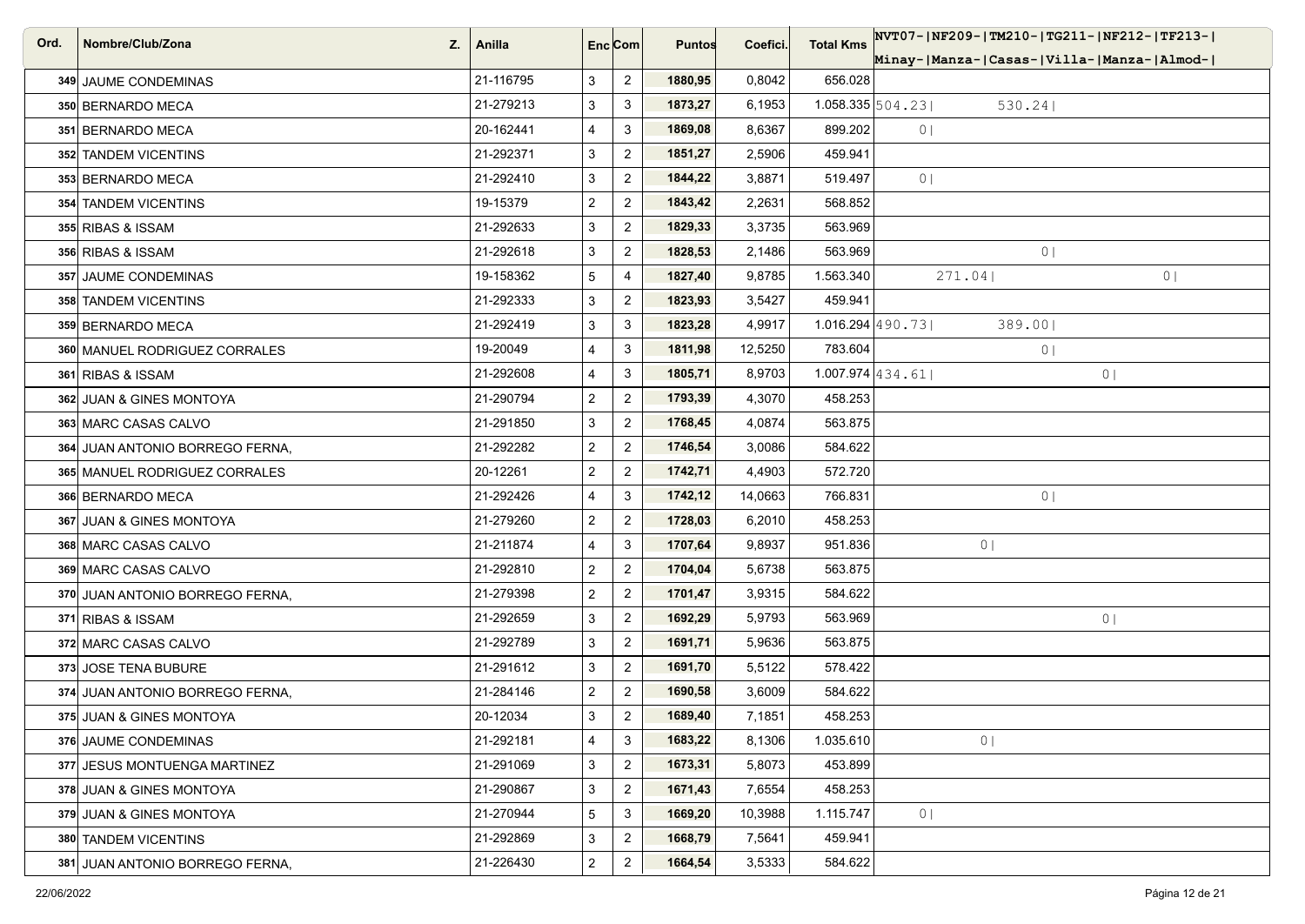| Ord. | Nombre/Club/Zona<br>Z.          | Anilla    |                         | Enc <sub>i</sub> Com | <b>Puntos</b> | Coefici. | <b>Total Kms</b> | NVT07- NF209- TM210- TG211- NF212- TF213- |
|------|---------------------------------|-----------|-------------------------|----------------------|---------------|----------|------------------|-------------------------------------------|
|      |                                 |           |                         |                      |               |          |                  | Minay- Manza- Casas- Villa- Manza- Almod- |
|      | 349 JAUME CONDEMINAS            | 21-116795 | 3                       | $\overline{2}$       | 1880,95       | 0,8042   | 656.028          |                                           |
|      | 350 BERNARDO MECA               | 21-279213 | 3                       | 3                    | 1873,27       | 6,1953   |                  | $1.058.335\,504.23$<br>530.24             |
|      | 351 BERNARDO MECA               | 20-162441 | 4                       | 3                    | 1869,08       | 8,6367   | 899.202          | 0 <sub>1</sub>                            |
|      | 352 TANDEM VICENTINS            | 21-292371 | 3                       | $\overline{a}$       | 1851,27       | 2,5906   | 459.941          |                                           |
|      | 353 BERNARDO MECA               | 21-292410 | 3                       | $\overline{2}$       | 1844,22       | 3,8871   | 519.497          | 0 <sub>1</sub>                            |
|      | 354 TANDEM VICENTINS            | 19-15379  | $\overline{\mathbf{c}}$ | $\overline{2}$       | 1843,42       | 2,2631   | 568.852          |                                           |
|      | 355 RIBAS & ISSAM               | 21-292633 | 3                       | $\mathbf{2}$         | 1829,33       | 3,3735   | 563.969          |                                           |
|      | 356 RIBAS & ISSAM               | 21-292618 | 3                       | $\overline{2}$       | 1828,53       | 2,1486   | 563.969          | 0 <sub>1</sub>                            |
|      | 357 JAUME CONDEMINAS            | 19-158362 | 5                       | $\overline{4}$       | 1827,40       | 9,8785   | 1.563.340        | 271.04 <br>0 <sub>1</sub>                 |
|      | 358 TANDEM VICENTINS            | 21-292333 | 3                       | $\overline{2}$       | 1823,93       | 3,5427   | 459.941          |                                           |
|      | 359 BERNARDO MECA               | 21-292419 | 3                       | 3                    | 1823,28       | 4,9917   |                  | $1.016.294$ 490.73<br>389.001             |
|      | 360 MANUEL RODRIGUEZ CORRALES   | 19-20049  | 4                       | 3                    | 1811,98       | 12,5250  | 783.604          | 0 <sub>1</sub>                            |
|      | 361 RIBAS & ISSAM               | 21-292608 | 4                       | 3                    | 1805,71       | 8,9703   |                  | $1.007.974$ 434.61<br>0 <sup>1</sup>      |
|      | 362 JUAN & GINES MONTOYA        | 21-290794 | $\overline{\mathbf{c}}$ | $\overline{2}$       | 1793,39       | 4,3070   | 458.253          |                                           |
|      | 363 MARC CASAS CALVO            | 21-291850 | 3                       | $\overline{a}$       | 1768,45       | 4,0874   | 563.875          |                                           |
|      | 364 JUAN ANTONIO BORREGO FERNA, | 21-292282 | $\overline{a}$          | $\overline{2}$       | 1746,54       | 3,0086   | 584.622          |                                           |
|      | 365 MANUEL RODRIGUEZ CORRALES   | 20-12261  | $\overline{a}$          | $\overline{2}$       | 1742,71       | 4,4903   | 572.720          |                                           |
|      | 366 BERNARDO MECA               | 21-292426 | 4                       | 3                    | 1742,12       | 14,0663  | 766.831          | 0 <sub>1</sub>                            |
|      | 367 JUAN & GINES MONTOYA        | 21-279260 | $\overline{c}$          | $\overline{c}$       | 1728,03       | 6,2010   | 458.253          |                                           |
|      | 368 MARC CASAS CALVO            | 21-211874 | 4                       | 3                    | 1707,64       | 9,8937   | 951.836          | 0 <sub>1</sub>                            |
|      | 369 MARC CASAS CALVO            | 21-292810 | $\overline{a}$          | $\overline{2}$       | 1704,04       | 5,6738   | 563.875          |                                           |
|      | 370 JUAN ANTONIO BORREGO FERNA, | 21-279398 | $\overline{\mathbf{c}}$ | $\overline{2}$       | 1701,47       | 3,9315   | 584.622          |                                           |
|      | 371 RIBAS & ISSAM               | 21-292659 | 3                       | $\overline{2}$       | 1692,29       | 5,9793   | 563.969          | 0 <sub>1</sub>                            |
|      | 372 MARC CASAS CALVO            | 21-292789 | 3                       | $\overline{2}$       | 1691,71       | 5,9636   | 563.875          |                                           |
|      | 373 JOSE TENA BUBURE            | 21-291612 | 3                       | $\overline{2}$       | 1691,70       | 5,5122   | 578.422          |                                           |
|      | 374 JUAN ANTONIO BORREGO FERNA, | 21-284146 | $\overline{a}$          | $\overline{2}$       | 1690,58       | 3,6009   | 584.622          |                                           |
|      | 375 JUAN & GINES MONTOYA        | 20-12034  | 3                       | $\overline{2}$       | 1689,40       | 7,1851   | 458.253          |                                           |
|      | 376 JAUME CONDEMINAS            | 21-292181 | 4                       | $\mathbf{3}$         | 1683,22       | 8,1306   | 1.035.610        | 0 <sub>1</sub>                            |
|      | 377 JESUS MONTUENGA MARTINEZ    | 21-291069 | 3                       | $\overline{2}$       | 1673,31       | 5,8073   | 453.899          |                                           |
|      | 378 JUAN & GINES MONTOYA        | 21-290867 | 3                       | $\overline{2}$       | 1671,43       | 7,6554   | 458.253          |                                           |
|      | 379 JUAN & GINES MONTOYA        | 21-270944 | 5                       | 3                    | 1669,20       | 10,3988  | 1.115.747        | 0 <sub>1</sub>                            |
|      | 380 TANDEM VICENTINS            | 21-292869 | 3                       | $\overline{2}$       | 1668,79       | 7,5641   | 459.941          |                                           |
|      | 381 JUAN ANTONIO BORREGO FERNA, | 21-226430 | $\overline{a}$          | $\overline{2}$       | 1664,54       | 3,5333   | 584.622          |                                           |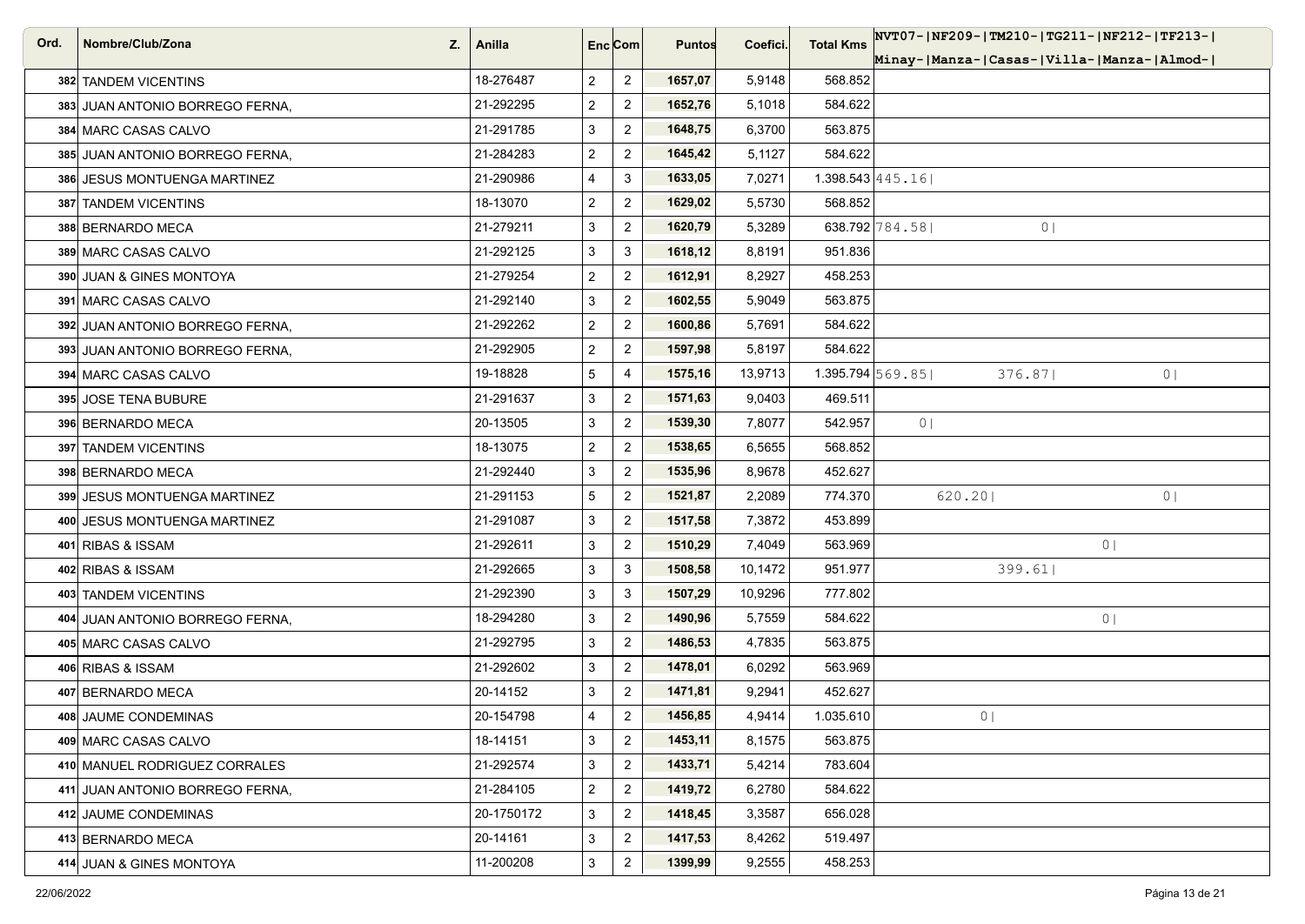| Ord. | Nombre/Club/Zona<br>Z.          | Anilla     | Enc[Com]                |                | <b>Puntos</b> | Coefici. | <b>Total Kms</b>             | NVT07- NF209- TM210- TG211- NF212- TF213- |
|------|---------------------------------|------------|-------------------------|----------------|---------------|----------|------------------------------|-------------------------------------------|
|      |                                 |            |                         |                |               |          |                              | Minay- Manza- Casas- Villa- Manza- Almod- |
|      | 382 TANDEM VICENTINS            | 18-276487  | $\overline{2}$          | $\overline{2}$ | 1657,07       | 5,9148   | 568.852                      |                                           |
|      | 383 JUAN ANTONIO BORREGO FERNA, | 21-292295  | $\overline{\mathbf{c}}$ | $\overline{2}$ | 1652,76       | 5,1018   | 584.622                      |                                           |
|      | 384 MARC CASAS CALVO            | 21-291785  | 3                       | $\overline{c}$ | 1648,75       | 6,3700   | 563.875                      |                                           |
|      | 385 JUAN ANTONIO BORREGO FERNA, | 21-284283  | $\overline{2}$          | $\overline{2}$ | 1645,42       | 5,1127   | 584.622                      |                                           |
|      | 386 JESUS MONTUENGA MARTINEZ    | 21-290986  | $\overline{4}$          | 3              | 1633,05       | 7,0271   |                              | $1.398.543 \mid 445.16 \mid$              |
|      | 387 TANDEM VICENTINS            | 18-13070   | $\overline{c}$          | $\overline{2}$ | 1629,02       | 5,5730   | 568.852                      |                                           |
|      | 388 BERNARDO MECA               | 21-279211  | 3                       | $\overline{2}$ | 1620,79       | 5,3289   |                              | 638.792 784.58<br>0 <sub>1</sub>          |
|      | 389 MARC CASAS CALVO            | 21-292125  | 3                       | 3              | 1618,12       | 8,8191   | 951.836                      |                                           |
|      | 390 JUAN & GINES MONTOYA        | 21-279254  | $\overline{c}$          | $\overline{2}$ | 1612,91       | 8,2927   | 458.253                      |                                           |
|      | 391 MARC CASAS CALVO            | 21-292140  | 3                       | $\overline{2}$ | 1602,55       | 5,9049   | 563.875                      |                                           |
|      | 392 JUAN ANTONIO BORREGO FERNA, | 21-292262  | $\overline{\mathbf{c}}$ | $\overline{2}$ | 1600,86       | 5,7691   | 584.622                      |                                           |
|      | 393 JUAN ANTONIO BORREGO FERNA, | 21-292905  | $\overline{2}$          | $\overline{a}$ | 1597,98       | 5,8197   | 584.622                      |                                           |
|      | 394 MARC CASAS CALVO            | 19-18828   | 5                       | 4              | 1575,16       | 13,9713  | $1.395.794 \mid 569.85 \mid$ | 376.87 <br>0 <sub>1</sub>                 |
|      | 395 JOSE TENA BUBURE            | 21-291637  | 3                       | $\overline{2}$ | 1571,63       | 9,0403   | 469.511                      |                                           |
|      | 396 BERNARDO MECA               | 20-13505   | 3                       | $\overline{2}$ | 1539,30       | 7,8077   | 542.957                      | 0 <sub>1</sub>                            |
|      | 397 TANDEM VICENTINS            | 18-13075   | $\overline{c}$          | $\overline{2}$ | 1538,65       | 6,5655   | 568.852                      |                                           |
|      | 398 BERNARDO MECA               | 21-292440  | 3                       | $\overline{2}$ | 1535,96       | 8,9678   | 452.627                      |                                           |
|      | 399 JESUS MONTUENGA MARTINEZ    | 21-291153  | $5\,$                   | $\overline{2}$ | 1521,87       | 2,2089   | 774.370                      | 620.20<br>0 <sub>1</sub>                  |
|      | 400 JESUS MONTUENGA MARTINEZ    | 21-291087  | 3                       | $\overline{2}$ | 1517,58       | 7,3872   | 453.899                      |                                           |
|      | 401 RIBAS & ISSAM               | 21-292611  | 3                       | $\overline{2}$ | 1510,29       | 7,4049   | 563.969                      | 0 <sub>1</sub>                            |
|      | 402 RIBAS & ISSAM               | 21-292665  | 3                       | 3              | 1508,58       | 10,1472  | 951.977                      | 399.61                                    |
|      | 403 TANDEM VICENTINS            | 21-292390  | 3                       | 3              | 1507,29       | 10,9296  | 777.802                      |                                           |
|      | 404 JUAN ANTONIO BORREGO FERNA, | 18-294280  | 3                       | $\overline{2}$ | 1490,96       | 5,7559   | 584.622                      | 0 <sub>1</sub>                            |
|      | 405 MARC CASAS CALVO            | 21-292795  | 3                       | $\overline{2}$ | 1486,53       | 4,7835   | 563.875                      |                                           |
|      | 406 RIBAS & ISSAM               | 21-292602  | 3                       | $\overline{2}$ | 1478,01       | 6,0292   | 563.969                      |                                           |
|      | 407 BERNARDO MECA               | 20-14152   | 3                       | $\overline{2}$ | 1471,81       | 9,2941   | 452.627                      |                                           |
|      | 408 JAUME CONDEMINAS            | 20-154798  | 4                       | $\overline{2}$ | 1456,85       | 4,9414   | 1.035.610                    | 0 <sub>1</sub>                            |
|      | 409 MARC CASAS CALVO            | 18-14151   | 3                       | $\overline{2}$ | 1453,11       | 8,1575   | 563.875                      |                                           |
|      | 410 MANUEL RODRIGUEZ CORRALES   | 21-292574  | 3                       | $\overline{2}$ | 1433,71       | 5,4214   | 783.604                      |                                           |
|      | 411 JUAN ANTONIO BORREGO FERNA, | 21-284105  | $\overline{c}$          | $\overline{2}$ | 1419,72       | 6,2780   | 584.622                      |                                           |
|      | 412 JAUME CONDEMINAS            | 20-1750172 | 3                       | $\overline{2}$ | 1418,45       | 3,3587   | 656.028                      |                                           |
|      | 413 BERNARDO MECA               | 20-14161   | 3                       | $\overline{2}$ | 1417,53       | 8,4262   | 519.497                      |                                           |
|      | 414 JUAN & GINES MONTOYA        | 11-200208  | 3                       | $\overline{2}$ | 1399,99       | 9,2555   | 458.253                      |                                           |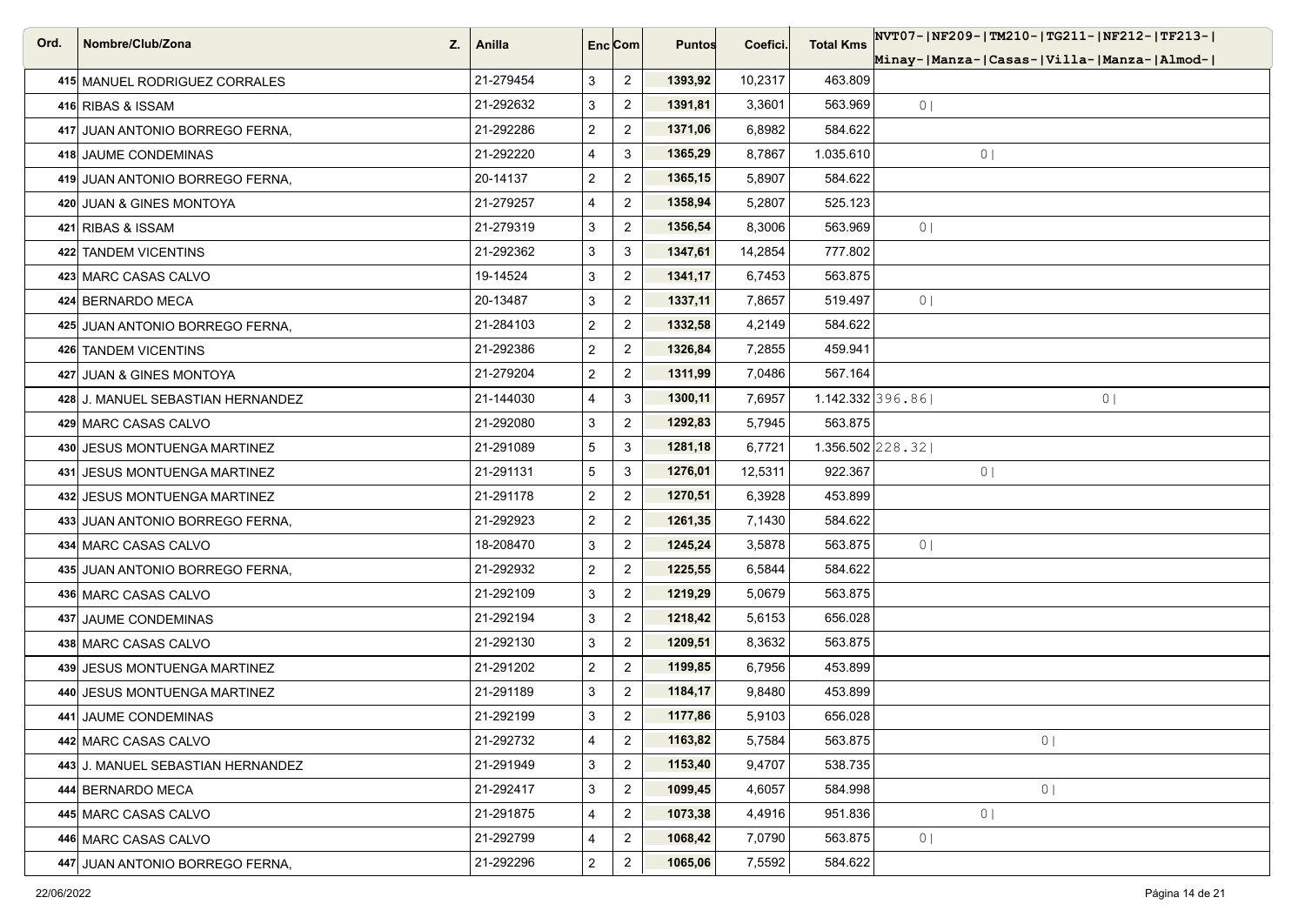| Ord. | Nombre/Club/Zona<br>Z.            | Anilla    |                         | Enc <sub>i</sub> Com | <b>Puntos</b> | Coefici. | <b>Total Kms</b> | NVT07- NF209- TM210- TG211- NF212- TF213- |
|------|-----------------------------------|-----------|-------------------------|----------------------|---------------|----------|------------------|-------------------------------------------|
|      |                                   |           |                         |                      |               |          |                  | Minay- Manza- Casas- Villa- Manza- Almod- |
|      | 415 MANUEL RODRIGUEZ CORRALES     | 21-279454 | 3                       | $\overline{2}$       | 1393,92       | 10,2317  | 463.809          |                                           |
|      | 416 RIBAS & ISSAM                 | 21-292632 | 3                       | $\overline{2}$       | 1391,81       | 3,3601   | 563.969          | 0 <sub>1</sub>                            |
|      | 417 JUAN ANTONIO BORREGO FERNA,   | 21-292286 | $\overline{a}$          | $\mathbf{2}$         | 1371,06       | 6,8982   | 584.622          |                                           |
|      | 418 JAUME CONDEMINAS              | 21-292220 | 4                       | 3                    | 1365,29       | 8,7867   | 1.035.610        | 0 <sub>1</sub>                            |
|      | 419 JUAN ANTONIO BORREGO FERNA.   | 20-14137  | $\overline{\mathbf{c}}$ | $\overline{2}$       | 1365,15       | 5,8907   | 584.622          |                                           |
|      | 420 JUAN & GINES MONTOYA          | 21-279257 | 4                       | $\overline{2}$       | 1358,94       | 5,2807   | 525.123          |                                           |
|      | 421 RIBAS & ISSAM                 | 21-279319 | 3                       | $\overline{2}$       | 1356,54       | 8,3006   | 563.969          | 0 <sub>1</sub>                            |
|      | 422 TANDEM VICENTINS              | 21-292362 | 3                       | 3                    | 1347,61       | 14,2854  | 777.802          |                                           |
|      | 423 MARC CASAS CALVO              | 19-14524  | 3                       | $\overline{2}$       | 1341,17       | 6,7453   | 563.875          |                                           |
|      | 424 BERNARDO MECA                 | 20-13487  | 3                       | $\overline{2}$       | 1337,11       | 7,8657   | 519.497          | 0 <sub>1</sub>                            |
|      | 425 JUAN ANTONIO BORREGO FERNA,   | 21-284103 | $\overline{a}$          | $\overline{2}$       | 1332,58       | 4,2149   | 584.622          |                                           |
|      | 426 TANDEM VICENTINS              | 21-292386 | $\overline{a}$          | $\overline{2}$       | 1326,84       | 7,2855   | 459.941          |                                           |
|      | 427 JUAN & GINES MONTOYA          | 21-279204 | $\overline{2}$          | $\overline{2}$       | 1311,99       | 7,0486   | 567.164          |                                           |
|      | 428 J. MANUEL SEBASTIAN HERNANDEZ | 21-144030 | 4                       | 3                    | 1300,11       | 7,6957   |                  | 1.142.332 396.86 <br>0 <sub>1</sub>       |
|      | 429 MARC CASAS CALVO              | 21-292080 | 3                       | $\overline{2}$       | 1292,83       | 5,7945   | 563.875          |                                           |
|      | 430 JESUS MONTUENGA MARTINEZ      | 21-291089 | 5                       | 3                    | 1281,18       | 6,7721   |                  | $1.356.502$ 228.32                        |
|      | 431 JESUS MONTUENGA MARTINEZ      | 21-291131 | 5                       | 3                    | 1276,01       | 12,5311  | 922.367          | 0 <sub>1</sub>                            |
|      | 432 JESUS MONTUENGA MARTINEZ      | 21-291178 | $\overline{\mathbf{c}}$ | $\overline{2}$       | 1270,51       | 6,3928   | 453.899          |                                           |
|      | 433 JUAN ANTONIO BORREGO FERNA,   | 21-292923 | $\overline{a}$          | $\overline{2}$       | 1261,35       | 7,1430   | 584.622          |                                           |
|      | 434 MARC CASAS CALVO              | 18-208470 | 3                       | $\overline{2}$       | 1245,24       | 3,5878   | 563.875          | 0 <sub>1</sub>                            |
|      | 435 JUAN ANTONIO BORREGO FERNA.   | 21-292932 | $\overline{a}$          | $\overline{2}$       | 1225,55       | 6,5844   | 584.622          |                                           |
|      | 436 MARC CASAS CALVO              | 21-292109 | 3                       | $\overline{2}$       | 1219,29       | 5,0679   | 563.875          |                                           |
|      | 437 JAUME CONDEMINAS              | 21-292194 | 3                       | $\overline{2}$       | 1218,42       | 5,6153   | 656.028          |                                           |
|      | 438 MARC CASAS CALVO              | 21-292130 | 3                       | $\overline{2}$       | 1209,51       | 8,3632   | 563.875          |                                           |
|      | 439 JESUS MONTUENGA MARTINEZ      | 21-291202 | $\overline{2}$          | $\overline{2}$       | 1199,85       | 6,7956   | 453.899          |                                           |
|      | 440 JESUS MONTUENGA MARTINEZ      | 21-291189 | 3                       | $\overline{2}$       | 1184,17       | 9,8480   | 453.899          |                                           |
|      | 441 JAUME CONDEMINAS              | 21-292199 | 3                       | $\overline{2}$       | 1177,86       | 5,9103   | 656.028          |                                           |
|      | 442 MARC CASAS CALVO              | 21-292732 | 4                       | $\overline{2}$       | 1163,82       | 5,7584   | 563.875          | 0 <sub>1</sub>                            |
|      | 443 J. MANUEL SEBASTIAN HERNANDEZ | 21-291949 | 3                       | $\overline{2}$       | 1153,40       | 9,4707   | 538.735          |                                           |
|      | 444 BERNARDO MECA                 | 21-292417 | 3                       | $\overline{2}$       | 1099,45       | 4,6057   | 584.998          | 0 <sub>1</sub>                            |
|      | 445 MARC CASAS CALVO              | 21-291875 | 4                       | $\overline{2}$       | 1073,38       | 4,4916   | 951.836          | 0 <sub>1</sub>                            |
|      | 446 MARC CASAS CALVO              | 21-292799 | 4                       | $\overline{2}$       | 1068,42       | 7,0790   | 563.875          | 0 <sub>1</sub>                            |
|      | 447 JUAN ANTONIO BORREGO FERNA,   | 21-292296 | $\overline{a}$          | $\overline{2}$       | 1065,06       | 7,5592   | 584.622          |                                           |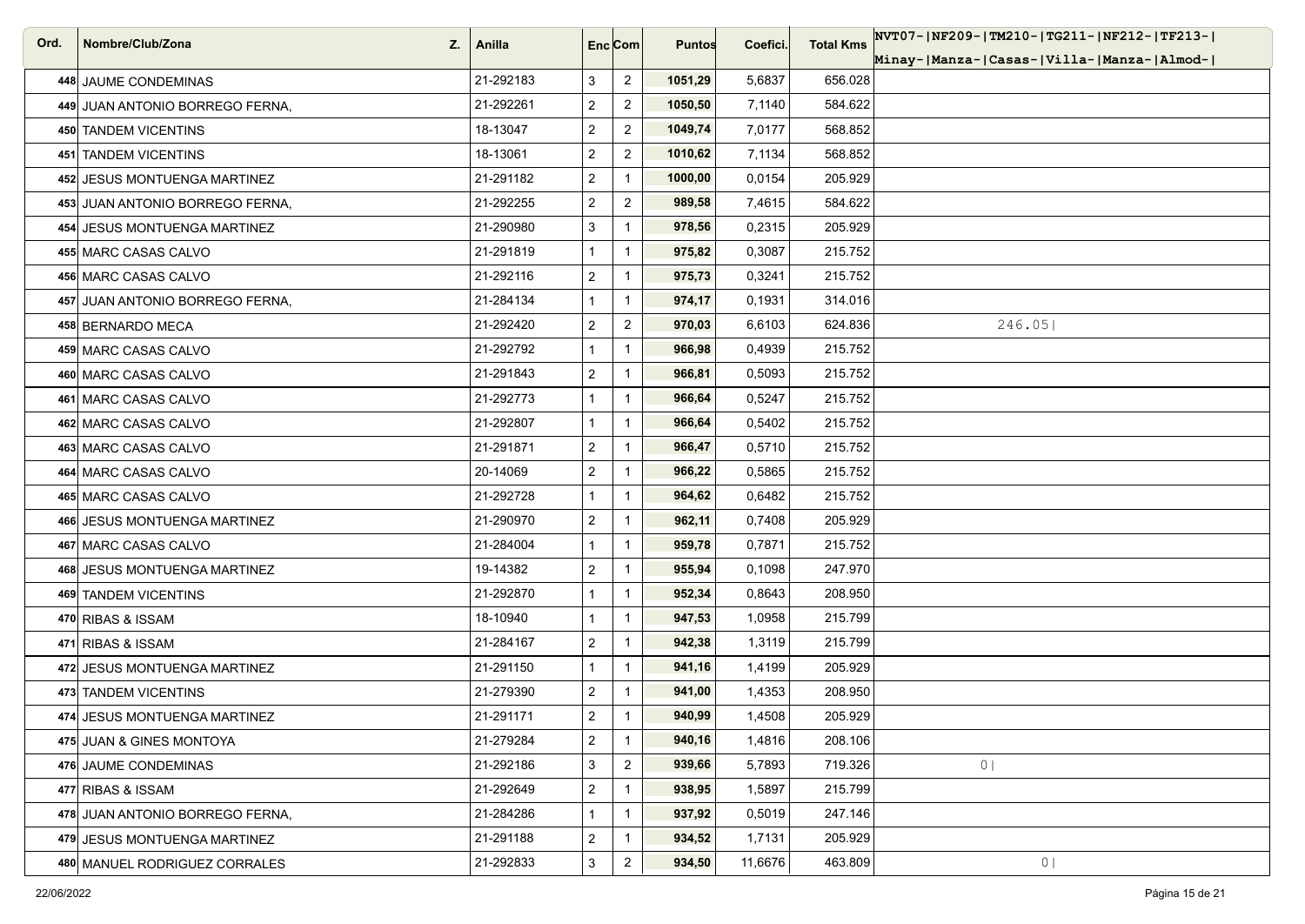| Ord. | Nombre/Club/Zona<br>Z.          | Anilla    |                         | Enc <sub>i</sub> Com | <b>Puntos</b> | Coefici. | <b>Total Kms</b> | NVT07- NF209- TM210- TG211- NF212- TF213- |
|------|---------------------------------|-----------|-------------------------|----------------------|---------------|----------|------------------|-------------------------------------------|
|      |                                 |           |                         |                      |               |          |                  | Minay- Manza- Casas- Villa- Manza- Almod- |
|      | 448 JAUME CONDEMINAS            | 21-292183 | 3                       | $\overline{2}$       | 1051,29       | 5,6837   | 656.028          |                                           |
|      | 449 JUAN ANTONIO BORREGO FERNA, | 21-292261 | $\overline{\mathbf{c}}$ | $\overline{2}$       | 1050,50       | 7,1140   | 584.622          |                                           |
|      | 450 TANDEM VICENTINS            | 18-13047  | $\overline{2}$          | $\overline{2}$       | 1049,74       | 7,0177   | 568.852          |                                           |
|      | 451 TANDEM VICENTINS            | 18-13061  | $\overline{c}$          | $\overline{2}$       | 1010,62       | 7,1134   | 568.852          |                                           |
|      | 452 JESUS MONTUENGA MARTINEZ    | 21-291182 | $\overline{c}$          | $\mathbf{1}$         | 1000,00       | 0,0154   | 205.929          |                                           |
|      | 453 JUAN ANTONIO BORREGO FERNA, | 21-292255 | $\overline{c}$          | $\overline{2}$       | 989,58        | 7,4615   | 584.622          |                                           |
|      | 454 JESUS MONTUENGA MARTINEZ    | 21-290980 | 3                       | $\mathbf{1}$         | 978,56        | 0,2315   | 205.929          |                                           |
|      | 455 MARC CASAS CALVO            | 21-291819 | $\mathbf{1}$            | $\mathbf{1}$         | 975,82        | 0,3087   | 215.752          |                                           |
|      | 456 MARC CASAS CALVO            | 21-292116 | $\overline{2}$          | $\overline{1}$       | 975,73        | 0,3241   | 215.752          |                                           |
|      | 457 JUAN ANTONIO BORREGO FERNA, | 21-284134 | $\mathbf{1}$            | $\mathbf{1}$         | 974,17        | 0,1931   | 314.016          |                                           |
|      | 458 BERNARDO MECA               | 21-292420 | $\overline{2}$          | $\overline{2}$       | 970,03        | 6,6103   | 624.836          | 246.05                                    |
|      | 459 MARC CASAS CALVO            | 21-292792 | $\mathbf{1}$            | $\mathbf{1}$         | 966,98        | 0,4939   | 215.752          |                                           |
|      | 460 MARC CASAS CALVO            | 21-291843 | $\overline{\mathbf{c}}$ |                      | 966,81        | 0,5093   | 215.752          |                                           |
|      | 461 MARC CASAS CALVO            | 21-292773 | $\mathbf{1}$            | $\mathbf{1}$         | 966,64        | 0,5247   | 215.752          |                                           |
|      | 462 MARC CASAS CALVO            | 21-292807 | $\mathbf{1}$            | $\overline{1}$       | 966,64        | 0,5402   | 215.752          |                                           |
|      | 463 MARC CASAS CALVO            | 21-291871 | $\overline{\mathbf{c}}$ |                      | 966,47        | 0,5710   | 215.752          |                                           |
|      | 464 MARC CASAS CALVO            | 20-14069  | $\overline{2}$          | $\overline{1}$       | 966,22        | 0,5865   | 215.752          |                                           |
|      | 465 MARC CASAS CALVO            | 21-292728 | $\mathbf{1}$            | $\mathbf{1}$         | 964,62        | 0,6482   | 215.752          |                                           |
|      | 466 JESUS MONTUENGA MARTINEZ    | 21-290970 | $\overline{\mathbf{c}}$ | $\mathbf 1$          | 962,11        | 0,7408   | 205.929          |                                           |
|      | 467 MARC CASAS CALVO            | 21-284004 | $\mathbf{1}$            | $\mathbf{1}$         | 959,78        | 0,7871   | 215.752          |                                           |
|      | 468 JESUS MONTUENGA MARTINEZ    | 19-14382  | $\overline{\mathbf{c}}$ | $\mathbf{1}$         | 955,94        | 0,1098   | 247.970          |                                           |
|      | 469 TANDEM VICENTINS            | 21-292870 | $\mathbf{1}$            | $\mathbf{1}$         | 952,34        | 0,8643   | 208.950          |                                           |
|      | 470 RIBAS & ISSAM               | 18-10940  | $\mathbf{1}$            | $\overline{1}$       | 947,53        | 1,0958   | 215.799          |                                           |
|      | 471 RIBAS & ISSAM               | 21-284167 | $\overline{2}$          |                      | 942,38        | 1,3119   | 215.799          |                                           |
|      | 472 JESUS MONTUENGA MARTINEZ    | 21-291150 | $\mathbf{1}$            | $\mathbf{1}$         | 941,16        | 1,4199   | 205.929          |                                           |
|      | 473 TANDEM VICENTINS            | 21-279390 | 2                       |                      | 941,00        | 1,4353   | 208.950          |                                           |
|      | 474 JESUS MONTUENGA MARTINEZ    | 21-291171 | $\overline{c}$          | -1                   | 940,99        | 1,4508   | 205.929          |                                           |
|      | 475 JUAN & GINES MONTOYA        | 21-279284 | $\overline{a}$          | $\mathbf{1}$         | 940,16        | 1,4816   | 208.106          |                                           |
|      | 476 JAUME CONDEMINAS            | 21-292186 | 3                       | $\overline{2}$       | 939,66        | 5,7893   | 719.326          | 0 <sub>1</sub>                            |
|      | 477 RIBAS & ISSAM               | 21-292649 | $\overline{\mathbf{c}}$ | $\mathbf{1}$         | 938,95        | 1,5897   | 215.799          |                                           |
|      | 478 JUAN ANTONIO BORREGO FERNA, | 21-284286 | $\mathbf{1}$            | $\mathbf{1}$         | 937,92        | 0,5019   | 247.146          |                                           |
|      | 479 JESUS MONTUENGA MARTINEZ    | 21-291188 | $\overline{\mathbf{c}}$ |                      | 934,52        | 1,7131   | 205.929          |                                           |
|      | 480 MANUEL RODRIGUEZ CORRALES   | 21-292833 | 3                       | $\overline{c}$       | 934,50        | 11,6676  | 463.809          | 0                                         |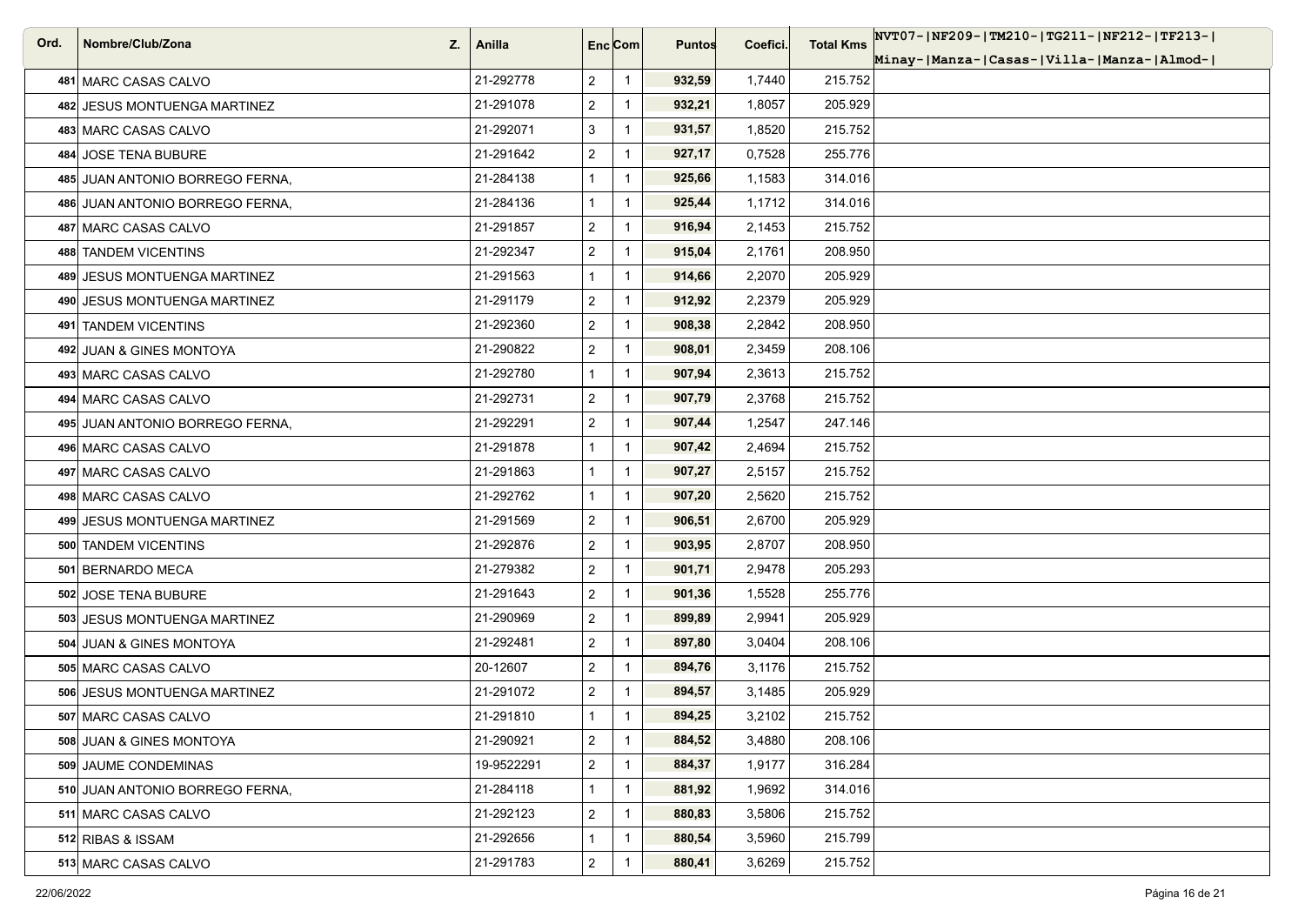| Ord. | Nombre/Club/Zona<br>Z.          | Anilla     | Enc[Com]                |                | <b>Puntos</b> | Coefici. | <b>Total Kms</b> | NVT07- NF209- TM210- TG211- NF212- TF213- |
|------|---------------------------------|------------|-------------------------|----------------|---------------|----------|------------------|-------------------------------------------|
|      |                                 |            |                         |                |               |          |                  | Minay- Manza- Casas- Villa- Manza- Almod- |
|      | 481 MARC CASAS CALVO            | 21-292778  | $\overline{2}$          | $\mathbf{1}$   | 932,59        | 1,7440   | 215.752          |                                           |
|      | 482 JESUS MONTUENGA MARTINEZ    | 21-291078  | $\overline{\mathbf{c}}$ | $\mathbf{1}$   | 932,21        | 1,8057   | 205.929          |                                           |
|      | 483 MARC CASAS CALVO            | 21-292071  | 3                       | $\overline{1}$ | 931,57        | 1,8520   | 215.752          |                                           |
|      | 484 JOSE TENA BUBURE            | 21-291642  | $\overline{2}$          | $\mathbf{1}$   | 927,17        | 0,7528   | 255.776          |                                           |
|      | 485 JUAN ANTONIO BORREGO FERNA, | 21-284138  | $\mathbf{1}$            | $\overline{1}$ | 925,66        | 1,1583   | 314.016          |                                           |
|      | 486 JUAN ANTONIO BORREGO FERNA, | 21-284136  | $\mathbf{1}$            | $\mathbf{1}$   | 925,44        | 1,1712   | 314.016          |                                           |
|      | 487 MARC CASAS CALVO            | 21-291857  | $\overline{\mathbf{c}}$ | $\overline{1}$ | 916,94        | 2,1453   | 215.752          |                                           |
|      | 488 TANDEM VICENTINS            | 21-292347  | $\overline{2}$          | $\mathbf{1}$   | 915,04        | 2,1761   | 208.950          |                                           |
|      | 489 JESUS MONTUENGA MARTINEZ    | 21-291563  | 1                       | $\mathbf{1}$   | 914,66        | 2,2070   | 205.929          |                                           |
|      | 490 JESUS MONTUENGA MARTINEZ    | 21-291179  | $\overline{\mathbf{c}}$ |                | 912,92        | 2,2379   | 205.929          |                                           |
|      | 491 TANDEM VICENTINS            | 21-292360  | $\overline{c}$          | $\mathbf{1}$   | 908,38        | 2,2842   | 208.950          |                                           |
|      | 492 JUAN & GINES MONTOYA        | 21-290822  | $\overline{2}$          | $\mathbf{1}$   | 908,01        | 2,3459   | 208.106          |                                           |
|      | 493 MARC CASAS CALVO            | 21-292780  | $\mathbf{1}$            | $\mathbf{1}$   | 907,94        | 2,3613   | 215.752          |                                           |
|      | 494 MARC CASAS CALVO            | 21-292731  | $\overline{2}$          | $\overline{1}$ | 907,79        | 2,3768   | 215.752          |                                           |
|      | 495 JUAN ANTONIO BORREGO FERNA, | 21-292291  | $\overline{\mathbf{c}}$ | $\mathbf{1}$   | 907,44        | 1,2547   | 247.146          |                                           |
|      | 496 MARC CASAS CALVO            | 21-291878  | $\mathbf{1}$            | $\mathbf{1}$   | 907,42        | 2,4694   | 215.752          |                                           |
|      | 497 MARC CASAS CALVO            | 21-291863  | 1                       | $\mathbf{1}$   | 907,27        | 2,5157   | 215.752          |                                           |
|      | 498 MARC CASAS CALVO            | 21-292762  | $\mathbf{1}$            | $\overline{1}$ | 907,20        | 2,5620   | 215.752          |                                           |
|      | 499 JESUS MONTUENGA MARTINEZ    | 21-291569  | $\overline{\mathbf{c}}$ | $\mathbf{1}$   | 906,51        | 2,6700   | 205.929          |                                           |
|      | 500 TANDEM VICENTINS            | 21-292876  | $\overline{2}$          | $\mathbf{1}$   | 903,95        | 2,8707   | 208.950          |                                           |
|      | 501 BERNARDO MECA               | 21-279382  | $\overline{2}$          | $\overline{1}$ | 901,71        | 2,9478   | 205.293          |                                           |
|      | 502 JOSE TENA BUBURE            | 21-291643  | $\overline{2}$          | $\overline{1}$ | 901,36        | 1,5528   | 255.776          |                                           |
|      | 503 JESUS MONTUENGA MARTINEZ    | 21-290969  | $\overline{\mathbf{c}}$ | $\overline{1}$ | 899,89        | 2,9941   | 205.929          |                                           |
|      | 504 JUAN & GINES MONTOYA        | 21-292481  | $\overline{2}$          | $\overline{1}$ | 897,80        | 3,0404   | 208.106          |                                           |
|      | 505 MARC CASAS CALVO            | 20-12607   | $\overline{2}$          | $\overline{1}$ | 894,76        | 3,1176   | 215.752          |                                           |
|      | 506 JESUS MONTUENGA MARTINEZ    | 21-291072  | 2                       |                | 894,57        | 3,1485   | 205.929          |                                           |
|      | 507 MARC CASAS CALVO            | 21-291810  | $\mathbf{1}$            | $\mathbf 1$    | 894,25        | 3,2102   | 215.752          |                                           |
|      | 508 JUAN & GINES MONTOYA        | 21-290921  | $\overline{a}$          | $\mathbf{1}$   | 884,52        | 3,4880   | 208.106          |                                           |
|      | 509 JAUME CONDEMINAS            | 19-9522291 | $\overline{c}$          | $\mathbf{1}$   | 884,37        | 1,9177   | 316.284          |                                           |
|      | 510 JUAN ANTONIO BORREGO FERNA, | 21-284118  | $\mathbf{1}$            | $\mathbf{1}$   | 881,92        | 1,9692   | 314.016          |                                           |
|      | 511 MARC CASAS CALVO            | 21-292123  | $\overline{\mathbf{c}}$ | $\mathbf{1}$   | 880,83        | 3,5806   | 215.752          |                                           |
|      | 512 RIBAS & ISSAM               | 21-292656  | $\mathbf{1}$            | $\mathbf{1}$   | 880,54        | 3,5960   | 215.799          |                                           |
|      | 513 MARC CASAS CALVO            | 21-291783  | $\overline{a}$          | $\mathbf{1}$   | 880,41        | 3,6269   | 215.752          |                                           |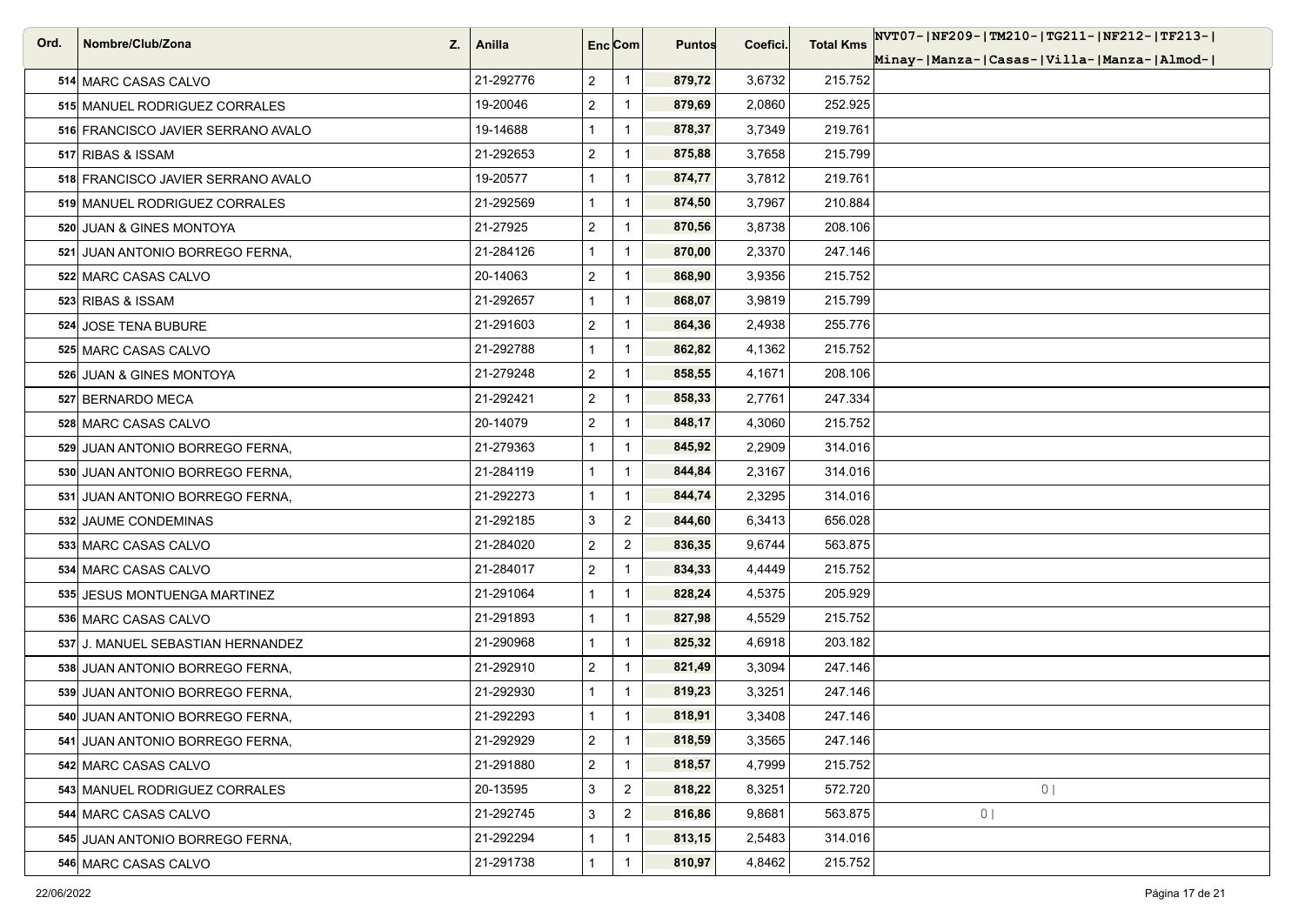| Ord. | Nombre/Club/Zona<br>Z.             | Anilla    | Enc[Com]       |                | <b>Puntos</b> | Coefici. | <b>Total Kms</b> | NVT07- NF209- TM210- TG211- NF212- TF213- |
|------|------------------------------------|-----------|----------------|----------------|---------------|----------|------------------|-------------------------------------------|
|      |                                    |           |                |                |               |          |                  | Minay- Manza- Casas- Villa- Manza- Almod- |
|      | 514 MARC CASAS CALVO               | 21-292776 | $\overline{2}$ | $\mathbf{1}$   | 879,72        | 3,6732   | 215.752          |                                           |
|      | 515 MANUEL RODRIGUEZ CORRALES      | 19-20046  | $\overline{c}$ | $\mathbf{1}$   | 879,69        | 2,0860   | 252.925          |                                           |
|      | 516 FRANCISCO JAVIER SERRANO AVALO | 19-14688  | $\mathbf{1}$   | $\mathbf{1}$   | 878,37        | 3,7349   | 219.761          |                                           |
|      | 517 RIBAS & ISSAM                  | 21-292653 | $\overline{2}$ | $\mathbf{1}$   | 875,88        | 3,7658   | 215.799          |                                           |
|      | 518 FRANCISCO JAVIER SERRANO AVALO | 19-20577  | $\mathbf{1}$   | $\mathbf{1}$   | 874,77        | 3,7812   | 219.761          |                                           |
|      | 519 MANUEL RODRIGUEZ CORRALES      | 21-292569 | $\mathbf{1}$   | $\mathbf{1}$   | 874,50        | 3,7967   | 210.884          |                                           |
|      | 520 JUAN & GINES MONTOYA           | 21-27925  | $\overline{2}$ | $\mathbf{1}$   | 870,56        | 3,8738   | 208.106          |                                           |
|      | 521 JUAN ANTONIO BORREGO FERNA,    | 21-284126 | $\mathbf{1}$   | $\mathbf{1}$   | 870,00        | 2,3370   | 247.146          |                                           |
|      | 522 MARC CASAS CALVO               | 20-14063  | $\overline{2}$ | $\mathbf{1}$   | 868,90        | 3,9356   | 215.752          |                                           |
|      | 523 RIBAS & ISSAM                  | 21-292657 | $\mathbf{1}$   | $\mathbf 1$    | 868,07        | 3,9819   | 215.799          |                                           |
|      | 524 JOSE TENA BUBURE               | 21-291603 | $\overline{a}$ | $\mathbf{1}$   | 864,36        | 2,4938   | 255.776          |                                           |
|      | 525 MARC CASAS CALVO               | 21-292788 | $\mathbf{1}$   | $\mathbf{1}$   | 862,82        | 4,1362   | 215.752          |                                           |
|      | 526 JUAN & GINES MONTOYA           | 21-279248 | $\overline{2}$ | $\mathbf{1}$   | 858,55        | 4,1671   | 208.106          |                                           |
|      | 527 BERNARDO MECA                  | 21-292421 | $\overline{2}$ | $\mathbf{1}$   | 858,33        | 2,7761   | 247.334          |                                           |
|      | 528 MARC CASAS CALVO               | 20-14079  | $\overline{2}$ | $\mathbf{1}$   | 848,17        | 4,3060   | 215.752          |                                           |
|      | 529 JUAN ANTONIO BORREGO FERNA,    | 21-279363 | $\mathbf{1}$   | $\mathbf 1$    | 845,92        | 2,2909   | 314.016          |                                           |
|      | 530 JUAN ANTONIO BORREGO FERNA,    | 21-284119 | $\mathbf{1}$   | $\mathbf{1}$   | 844,84        | 2,3167   | 314.016          |                                           |
|      | 531 JUAN ANTONIO BORREGO FERNA,    | 21-292273 | 1              | $\mathbf{1}$   | 844,74        | 2,3295   | 314.016          |                                           |
|      | 532 JAUME CONDEMINAS               | 21-292185 | 3              | $\overline{2}$ | 844,60        | 6,3413   | 656.028          |                                           |
|      | 533 MARC CASAS CALVO               | 21-284020 | $\overline{2}$ | $\overline{2}$ | 836,35        | 9,6744   | 563.875          |                                           |
|      | 534 MARC CASAS CALVO               | 21-284017 | $\overline{2}$ | $\mathbf{1}$   | 834,33        | 4,4449   | 215.752          |                                           |
|      | 535 JESUS MONTUENGA MARTINEZ       | 21-291064 | $\mathbf{1}$   | $\mathbf{1}$   | 828,24        | 4,5375   | 205.929          |                                           |
|      | 536 MARC CASAS CALVO               | 21-291893 | 1              | $\mathbf{1}$   | 827,98        | 4,5529   | 215.752          |                                           |
|      | 537 J. MANUEL SEBASTIAN HERNANDEZ  | 21-290968 | $\mathbf{1}$   | $\mathbf{1}$   | 825,32        | 4,6918   | 203.182          |                                           |
|      | 538 JUAN ANTONIO BORREGO FERNA,    | 21-292910 | $\overline{2}$ | $\mathbf{1}$   | 821,49        | 3,3094   | 247.146          |                                           |
|      | 539 JUAN ANTONIO BORREGO FERNA,    | 21-292930 | $\mathbf{1}$   | $\mathbf{1}$   | 819,23        | 3,3251   | 247.146          |                                           |
|      | 540 JUAN ANTONIO BORREGO FERNA,    | 21-292293 | $\mathbf{1}$   | $\mathbf{1}$   | 818,91        | 3,3408   | 247.146          |                                           |
|      | 541 JUAN ANTONIO BORREGO FERNA,    | 21-292929 | $\overline{2}$ | $\mathbf{1}$   | 818,59        | 3,3565   | 247.146          |                                           |
|      | 542 MARC CASAS CALVO               | 21-291880 | $\overline{c}$ | $\mathbf{1}$   | 818,57        | 4,7999   | 215.752          |                                           |
|      | 543 MANUEL RODRIGUEZ CORRALES      | 20-13595  | 3              | $\overline{2}$ | 818,22        | 8,3251   | 572.720          | 0 <sub>1</sub>                            |
|      | 544 MARC CASAS CALVO               | 21-292745 | 3              | $\overline{2}$ | 816,86        | 9,8681   | 563.875          | 0 <sub>1</sub>                            |
|      | 545 JUAN ANTONIO BORREGO FERNA.    | 21-292294 | 1              | $\mathbf{1}$   | 813,15        | 2,5483   | 314.016          |                                           |
|      | 546 MARC CASAS CALVO               | 21-291738 | $\mathbf{1}$   | $\mathbf{1}$   | 810,97        | 4,8462   | 215.752          |                                           |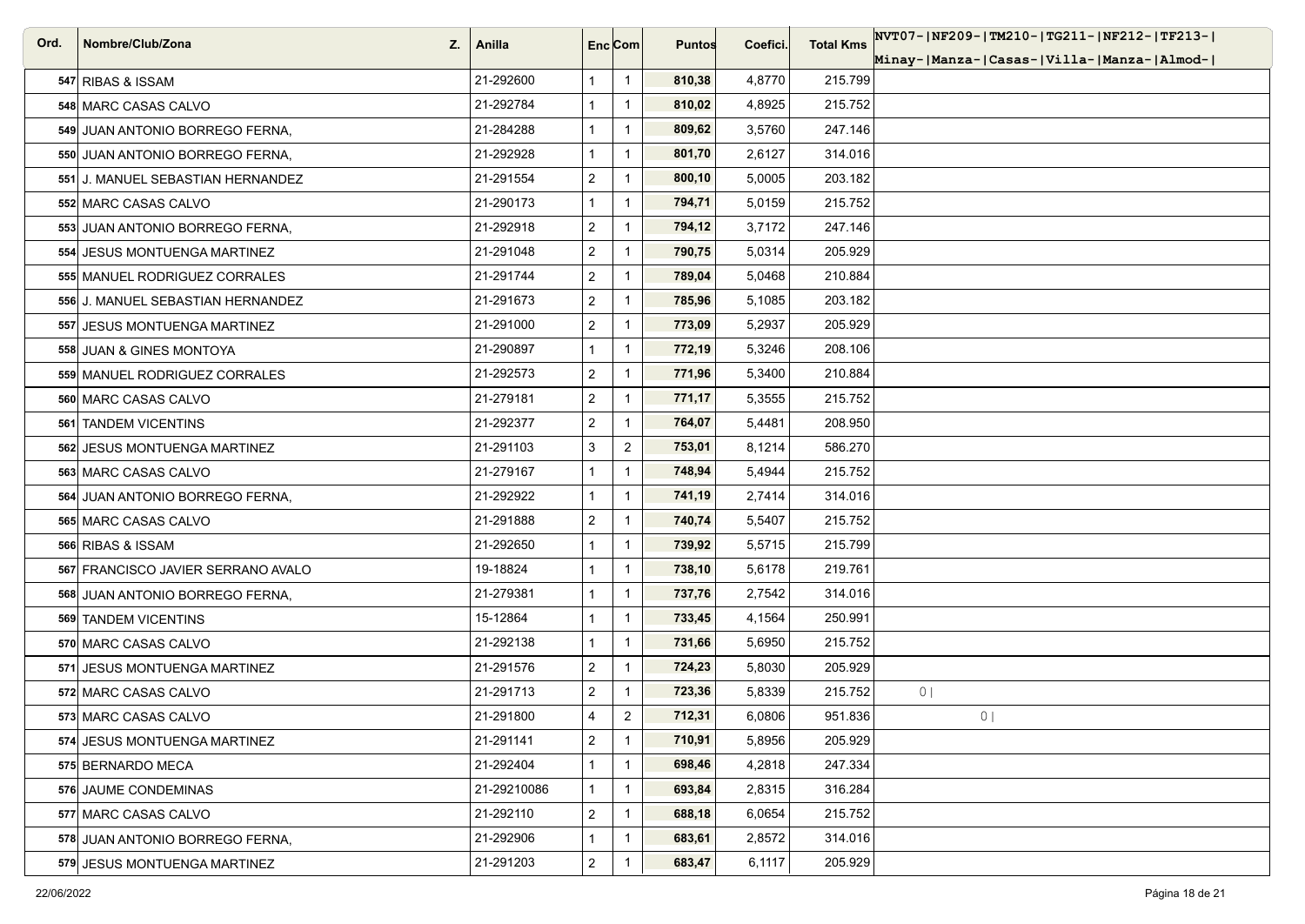| Ord. | Nombre/Club/Zona<br>Z.             | Anilla      | Enc[Com]       |                | <b>Puntos</b> | Coefici. | <b>Total Kms</b> | NVT07- NF209- TM210- TG211- NF212- TF213- |
|------|------------------------------------|-------------|----------------|----------------|---------------|----------|------------------|-------------------------------------------|
|      |                                    |             |                |                |               |          |                  | Minay- Manza- Casas- Villa- Manza- Almod- |
|      | 547 RIBAS & ISSAM                  | 21-292600   | 1              | $\mathbf{1}$   | 810,38        | 4,8770   | 215.799          |                                           |
|      | 548 MARC CASAS CALVO               | 21-292784   | $\mathbf{1}$   | $\mathbf{1}$   | 810,02        | 4,8925   | 215.752          |                                           |
|      | 549 JUAN ANTONIO BORREGO FERNA,    | 21-284288   | $\mathbf{1}$   | $\mathbf{1}$   | 809,62        | 3,5760   | 247.146          |                                           |
|      | 550 JUAN ANTONIO BORREGO FERNA,    | 21-292928   | $\mathbf{1}$   | $\mathbf{1}$   | 801,70        | 2,6127   | 314.016          |                                           |
|      | 551 J. MANUEL SEBASTIAN HERNANDEZ  | 21-291554   | $\overline{2}$ | $\mathbf{1}$   | 800,10        | 5,0005   | 203.182          |                                           |
|      | 552 MARC CASAS CALVO               | 21-290173   | $\mathbf{1}$   | $\mathbf{1}$   | 794,71        | 5,0159   | 215.752          |                                           |
|      | 553 JUAN ANTONIO BORREGO FERNA.    | 21-292918   | $\overline{2}$ | $\mathbf{1}$   | 794,12        | 3,7172   | 247.146          |                                           |
|      | 554 JESUS MONTUENGA MARTINEZ       | 21-291048   | $\overline{2}$ | $\mathbf{1}$   | 790,75        | 5,0314   | 205.929          |                                           |
|      | 555 MANUEL RODRIGUEZ CORRALES      | 21-291744   | $\overline{2}$ | $\mathbf{1}$   | 789,04        | 5,0468   | 210.884          |                                           |
|      | 556 J. MANUEL SEBASTIAN HERNANDEZ  | 21-291673   | $\overline{2}$ | $\mathbf 1$    | 785,96        | 5,1085   | 203.182          |                                           |
|      | 557 JESUS MONTUENGA MARTINEZ       | 21-291000   | $\overline{a}$ | $\mathbf{1}$   | 773,09        | 5,2937   | 205.929          |                                           |
|      | 558 JUAN & GINES MONTOYA           | 21-290897   | $\mathbf{1}$   | $\mathbf{1}$   | 772,19        | 5,3246   | 208.106          |                                           |
|      | 559 MANUEL RODRIGUEZ CORRALES      | 21-292573   | $\overline{c}$ | $\mathbf{1}$   | 771,96        | 5,3400   | 210.884          |                                           |
|      | 560 MARC CASAS CALVO               | 21-279181   | $\overline{a}$ | $\mathbf{1}$   | 771,17        | 5,3555   | 215.752          |                                           |
|      | 561 TANDEM VICENTINS               | 21-292377   | $\overline{2}$ | $\mathbf{1}$   | 764,07        | 5,4481   | 208.950          |                                           |
|      | 562 JESUS MONTUENGA MARTINEZ       | 21-291103   | 3              | $\overline{2}$ | 753,01        | 8,1214   | 586.270          |                                           |
|      | 563 MARC CASAS CALVO               | 21-279167   | 1              | $\mathbf{1}$   | 748,94        | 5,4944   | 215.752          |                                           |
|      | 564 JUAN ANTONIO BORREGO FERNA,    | 21-292922   | 1              | $\mathbf{1}$   | 741,19        | 2,7414   | 314.016          |                                           |
|      | 565 MARC CASAS CALVO               | 21-291888   | $\overline{a}$ | $\mathbf{1}$   | 740,74        | 5,5407   | 215.752          |                                           |
|      | 566 RIBAS & ISSAM                  | 21-292650   | $\mathbf{1}$   | $\mathbf{1}$   | 739,92        | 5,5715   | 215.799          |                                           |
|      | 567 FRANCISCO JAVIER SERRANO AVALO | 19-18824    | 1              | $\mathbf{1}$   | 738,10        | 5,6178   | 219.761          |                                           |
|      | 568 JUAN ANTONIO BORREGO FERNA,    | 21-279381   | $\mathbf{1}$   | $\mathbf{1}$   | 737,76        | 2,7542   | 314.016          |                                           |
|      | 569 TANDEM VICENTINS               | 15-12864    | $\mathbf{1}$   | $\mathbf{1}$   | 733,45        | 4,1564   | 250.991          |                                           |
|      | 570 MARC CASAS CALVO               | 21-292138   | $\mathbf{1}$   | $\mathbf{1}$   | 731,66        | 5,6950   | 215.752          |                                           |
|      | 571 JESUS MONTUENGA MARTINEZ       | 21-291576   | $\overline{2}$ | $\mathbf{1}$   | 724,23        | 5,8030   | 205.929          |                                           |
|      | 572 MARC CASAS CALVO               | 21-291713   | $\overline{2}$ | $\mathbf 1$    | 723,36        | 5,8339   | 215.752          | 0 <sup>1</sup>                            |
|      | 573 MARC CASAS CALVO               | 21-291800   | $\overline{4}$ | $\mathbf{2}$   | 712,31        | 6,0806   | 951.836          | 0 <sub>1</sub>                            |
|      | 574 JESUS MONTUENGA MARTINEZ       | 21-291141   | $\overline{2}$ | $\mathbf{1}$   | 710,91        | 5,8956   | 205.929          |                                           |
|      | 575 BERNARDO MECA                  | 21-292404   | $\mathbf{1}$   | $\mathbf{1}$   | 698,46        | 4,2818   | 247.334          |                                           |
|      | 576 JAUME CONDEMINAS               | 21-29210086 | $\mathbf{1}$   | $\mathbf{1}$   | 693,84        | 2,8315   | 316.284          |                                           |
|      | 577 MARC CASAS CALVO               | 21-292110   | $\overline{c}$ | $\mathbf{1}$   | 688,18        | 6,0654   | 215.752          |                                           |
|      | 578 JUAN ANTONIO BORREGO FERNA,    | 21-292906   | 1              | $\mathbf{1}$   | 683,61        | 2,8572   | 314.016          |                                           |
|      | 579 JESUS MONTUENGA MARTINEZ       | 21-291203   | $\overline{a}$ | $\mathbf{1}$   | 683,47        | 6,1117   | 205.929          |                                           |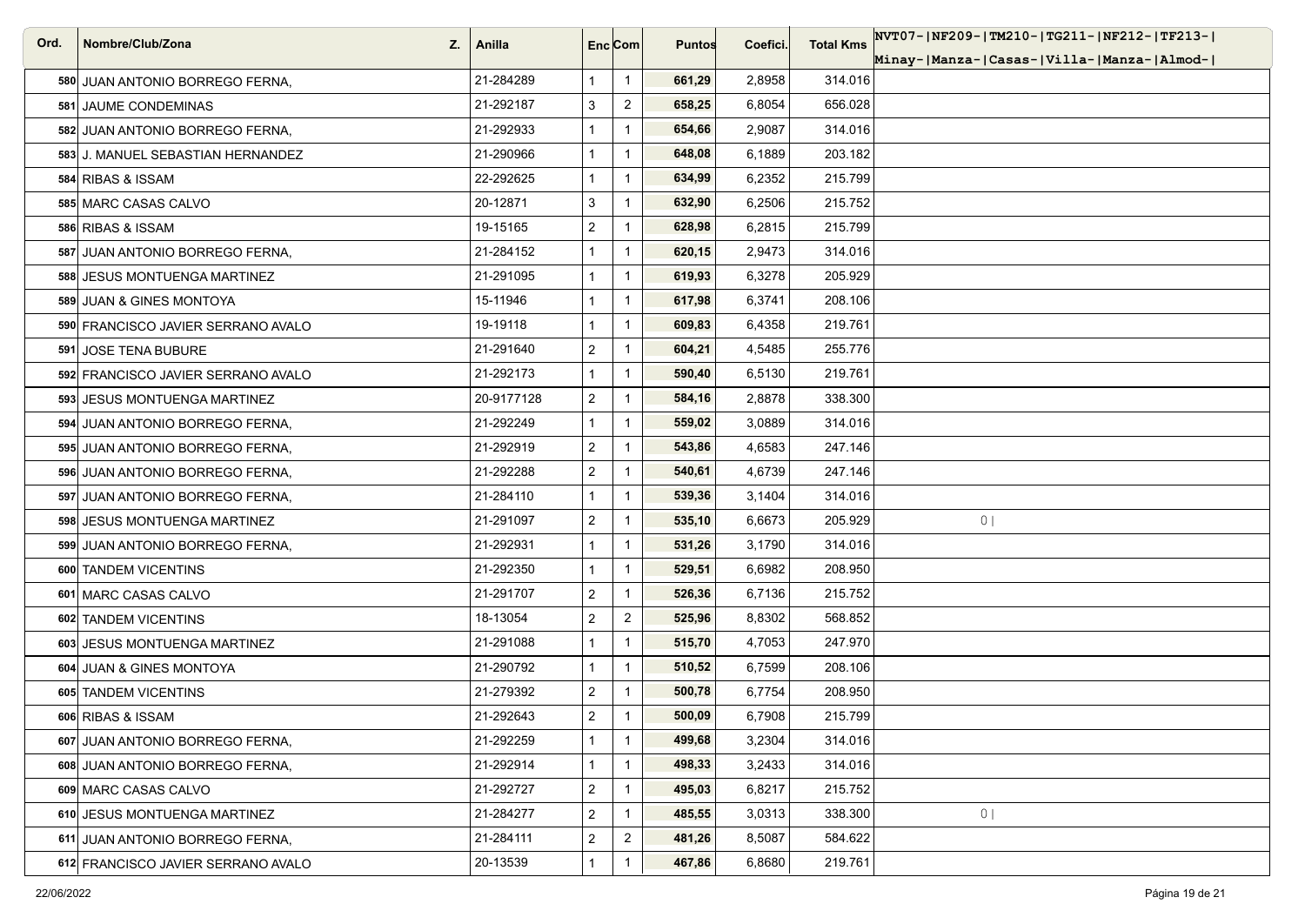| Ord. | Nombre/Club/Zona<br>Z.             | Anilla     | Enc Com        |                | <b>Puntos</b> | Coefici. | <b>Total Kms</b> | NVT07- NF209- TM210- TG211- NF212- TF213- |
|------|------------------------------------|------------|----------------|----------------|---------------|----------|------------------|-------------------------------------------|
|      |                                    |            |                |                |               |          |                  | Minay- Manza- Casas- Villa- Manza- Almod- |
|      | 580 JUAN ANTONIO BORREGO FERNA,    | 21-284289  | $\mathbf{1}$   | $\mathbf{1}$   | 661,29        | 2,8958   | 314.016          |                                           |
|      | 581 JAUME CONDEMINAS               | 21-292187  | 3              | $\overline{2}$ | 658,25        | 6,8054   | 656.028          |                                           |
|      | 582 JUAN ANTONIO BORREGO FERNA,    | 21-292933  |                | $\mathbf{1}$   | 654,66        | 2,9087   | 314.016          |                                           |
|      | 583 J. MANUEL SEBASTIAN HERNANDEZ  | 21-290966  | 1              | $\mathbf{1}$   | 648,08        | 6,1889   | 203.182          |                                           |
|      | 584 RIBAS & ISSAM                  | 22-292625  |                | $\mathbf{1}$   | 634,99        | 6,2352   | 215.799          |                                           |
|      | 585 MARC CASAS CALVO               | 20-12871   | 3              | $\mathbf{1}$   | 632,90        | 6,2506   | 215.752          |                                           |
|      | 586 RIBAS & ISSAM                  | 19-15165   | 2              | $\mathbf{1}$   | 628,98        | 6,2815   | 215.799          |                                           |
|      | 587 JUAN ANTONIO BORREGO FERNA,    | 21-284152  |                | $\mathbf{1}$   | 620,15        | 2,9473   | 314.016          |                                           |
|      | 588 JESUS MONTUENGA MARTINEZ       | 21-291095  | 1              | $\mathbf{1}$   | 619,93        | 6,3278   | 205.929          |                                           |
|      | 589 JUAN & GINES MONTOYA           | 15-11946   |                | $\mathbf{1}$   | 617,98        | 6,3741   | 208.106          |                                           |
|      | 590 FRANCISCO JAVIER SERRANO AVALO | 19-19118   |                | $\mathbf{1}$   | 609,83        | 6,4358   | 219.761          |                                           |
|      | 591 JOSE TENA BUBURE               | 21-291640  | $\overline{2}$ | $\mathbf{1}$   | 604,21        | 4,5485   | 255.776          |                                           |
|      | 592 FRANCISCO JAVIER SERRANO AVALO | 21-292173  |                | $\mathbf{1}$   | 590,40        | 6,5130   | 219.761          |                                           |
|      | 593 JESUS MONTUENGA MARTINEZ       | 20-9177128 | $\overline{2}$ | $\mathbf{1}$   | 584,16        | 2,8878   | 338.300          |                                           |
|      | 594 JUAN ANTONIO BORREGO FERNA.    | 21-292249  | 1              | $\mathbf{1}$   | 559,02        | 3,0889   | 314.016          |                                           |
|      | 595 JUAN ANTONIO BORREGO FERNA,    | 21-292919  | $\overline{2}$ | $\mathbf{1}$   | 543,86        | 4,6583   | 247.146          |                                           |
|      | 596 JUAN ANTONIO BORREGO FERNA,    | 21-292288  | $\overline{2}$ | $\mathbf{1}$   | 540,61        | 4,6739   | 247.146          |                                           |
|      | 597 JUAN ANTONIO BORREGO FERNA,    | 21-284110  | 1              | $\mathbf{1}$   | 539,36        | 3,1404   | 314.016          |                                           |
|      | 598 JESUS MONTUENGA MARTINEZ       | 21-291097  | $\overline{2}$ | $\mathbf{1}$   | 535,10        | 6,6673   | 205.929          | 0 <sub>1</sub>                            |
|      | 599 JUAN ANTONIO BORREGO FERNA,    | 21-292931  | 1              | $\mathbf{1}$   | 531,26        | 3,1790   | 314.016          |                                           |
|      | 600 TANDEM VICENTINS               | 21-292350  |                | $\mathbf{1}$   | 529,51        | 6,6982   | 208.950          |                                           |
|      | 601 MARC CASAS CALVO               | 21-291707  | $\overline{2}$ | $\mathbf{1}$   | 526,36        | 6,7136   | 215.752          |                                           |
|      | 602 TANDEM VICENTINS               | 18-13054   | 2              | $\overline{2}$ | 525,96        | 8,8302   | 568.852          |                                           |
|      | 603 JESUS MONTUENGA MARTINEZ       | 21-291088  | 1              | $\mathbf{1}$   | 515,70        | 4,7053   | 247.970          |                                           |
|      | 604 JUAN & GINES MONTOYA           | 21-290792  | 1              | $\mathbf{1}$   | 510,52        | 6,7599   | 208.106          |                                           |
|      | 605 TANDEM VICENTINS               | 21-279392  | 2              | $\mathbf{1}$   | 500,78        | 6,7754   | 208.950          |                                           |
|      | 606 RIBAS & ISSAM                  | 21-292643  | $\overline{a}$ | $\mathbf{1}$   | 500,09        | 6,7908   | 215.799          |                                           |
|      | 607 JUAN ANTONIO BORREGO FERNA,    | 21-292259  | 1              | $\mathbf{1}$   | 499,68        | 3,2304   | 314.016          |                                           |
|      | 608 JUAN ANTONIO BORREGO FERNA,    | 21-292914  |                | $\mathbf{1}$   | 498,33        | 3,2433   | 314.016          |                                           |
|      | 609 MARC CASAS CALVO               | 21-292727  | $\overline{a}$ | $\mathbf{1}$   | 495,03        | 6,8217   | 215.752          |                                           |
|      | 610 JESUS MONTUENGA MARTINEZ       | 21-284277  | 2              | $\mathbf{1}$   | 485,55        | 3,0313   | 338.300          | 0 <sub>1</sub>                            |
|      | 611 JUAN ANTONIO BORREGO FERNA,    | 21-284111  | $\overline{2}$ | $\overline{2}$ | 481,26        | 8,5087   | 584.622          |                                           |
|      | 612 FRANCISCO JAVIER SERRANO AVALO | 20-13539   |                | $\mathbf{1}$   | 467,86        | 6,8680   | 219.761          |                                           |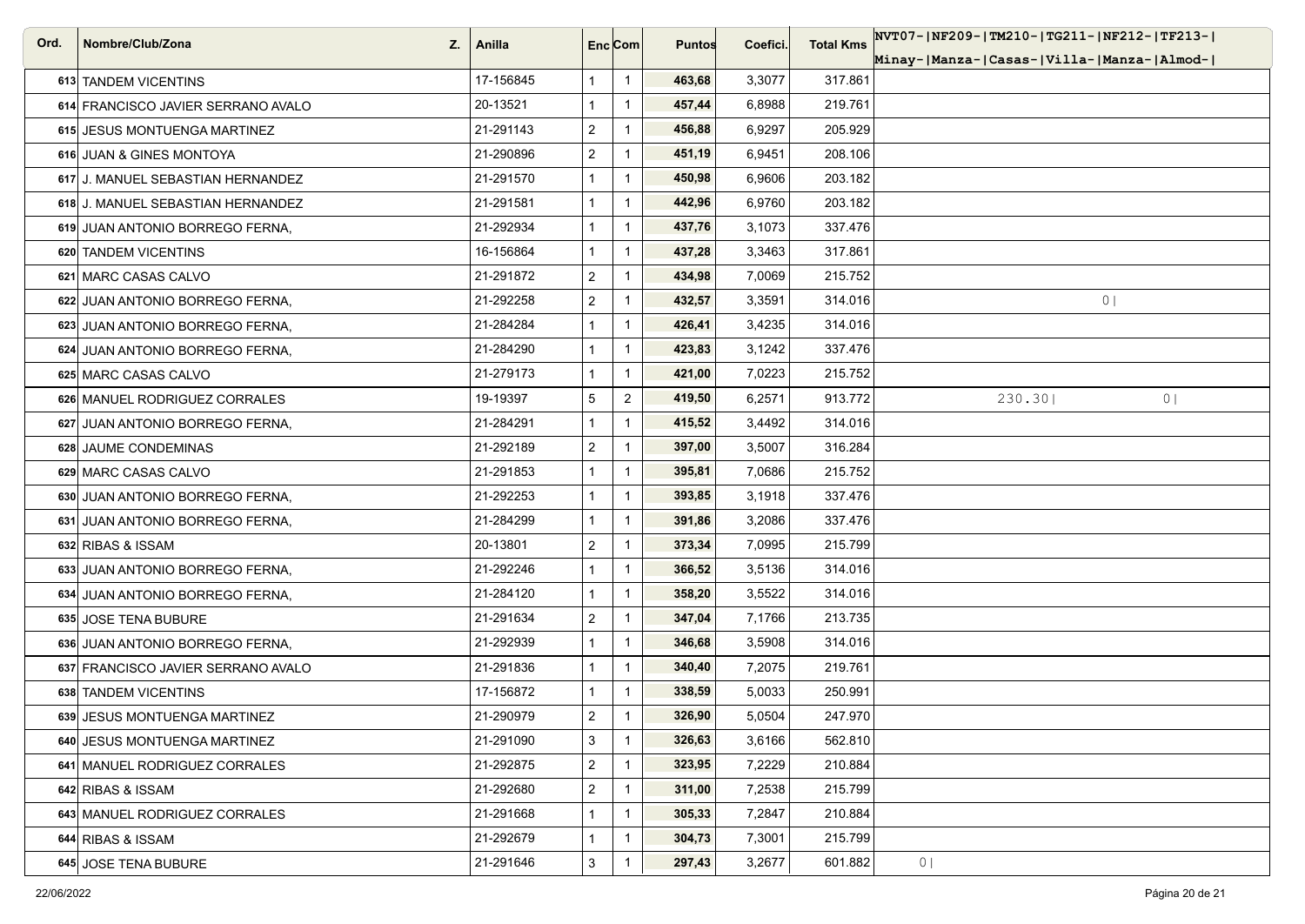| Ord. | Nombre/Club/Zona<br>Z.             | Anilla    | Enc[Com]       |                | <b>Puntos</b> | Coefici. | <b>Total Kms</b> | NVT07- NF209- TM210- TG211- NF212- TF213- |
|------|------------------------------------|-----------|----------------|----------------|---------------|----------|------------------|-------------------------------------------|
|      |                                    |           |                |                |               |          |                  | Minay- Manza- Casas- Villa- Manza- Almod- |
|      | 613 TANDEM VICENTINS               | 17-156845 | 1              | $\mathbf{1}$   | 463,68        | 3,3077   | 317.861          |                                           |
|      | 614 FRANCISCO JAVIER SERRANO AVALO | 20-13521  | $\mathbf{1}$   | $\mathbf{1}$   | 457,44        | 6,8988   | 219.761          |                                           |
|      | 615 JESUS MONTUENGA MARTINEZ       | 21-291143 | $\overline{a}$ | $\mathbf{1}$   | 456,88        | 6,9297   | 205.929          |                                           |
|      | 616 JUAN & GINES MONTOYA           | 21-290896 | $\overline{2}$ | $\mathbf{1}$   | 451,19        | 6,9451   | 208.106          |                                           |
|      | 617 J. MANUEL SEBASTIAN HERNANDEZ  | 21-291570 | $\mathbf{1}$   | $\mathbf{1}$   | 450,98        | 6,9606   | 203.182          |                                           |
|      | 618 J. MANUEL SEBASTIAN HERNANDEZ  | 21-291581 | $\mathbf{1}$   | $\mathbf{1}$   | 442,96        | 6,9760   | 203.182          |                                           |
|      | 619 JUAN ANTONIO BORREGO FERNA,    | 21-292934 | $\mathbf{1}$   | $\mathbf{1}$   | 437,76        | 3,1073   | 337.476          |                                           |
|      | 620 TANDEM VICENTINS               | 16-156864 | $\mathbf{1}$   | $\mathbf{1}$   | 437,28        | 3,3463   | 317.861          |                                           |
|      | 621 MARC CASAS CALVO               | 21-291872 | $\overline{2}$ | $\mathbf{1}$   | 434,98        | 7,0069   | 215.752          |                                           |
|      | 622 JUAN ANTONIO BORREGO FERNA,    | 21-292258 | $\overline{2}$ | $\mathbf 1$    | 432,57        | 3,3591   | 314.016          | 0 <sub>1</sub>                            |
|      | 623 JUAN ANTONIO BORREGO FERNA,    | 21-284284 | $\mathbf{1}$   | $\mathbf{1}$   | 426,41        | 3,4235   | 314.016          |                                           |
|      | 624 JUAN ANTONIO BORREGO FERNA,    | 21-284290 | $\mathbf{1}$   | $\mathbf{1}$   | 423,83        | 3,1242   | 337.476          |                                           |
|      | 625 MARC CASAS CALVO               | 21-279173 | $\mathbf{1}$   | $\mathbf{1}$   | 421,00        | 7,0223   | 215.752          |                                           |
|      | 626 MANUEL RODRIGUEZ CORRALES      | 19-19397  | 5              | $\overline{2}$ | 419,50        | 6,2571   | 913.772          | 230.30<br>0 <sub>1</sub>                  |
|      | 627 JUAN ANTONIO BORREGO FERNA,    | 21-284291 | $\mathbf{1}$   | $\mathbf{1}$   | 415,52        | 3,4492   | 314.016          |                                           |
|      | 628 JAUME CONDEMINAS               | 21-292189 | $\overline{2}$ | $\mathbf 1$    | 397,00        | 3,5007   | 316.284          |                                           |
|      | 629 MARC CASAS CALVO               | 21-291853 | 1              | $\mathbf{1}$   | 395,81        | 7,0686   | 215.752          |                                           |
|      | 630 JUAN ANTONIO BORREGO FERNA,    | 21-292253 | 1              | $\mathbf{1}$   | 393,85        | 3,1918   | 337.476          |                                           |
|      | 631 JUAN ANTONIO BORREGO FERNA,    | 21-284299 | $\mathbf{1}$   | $\mathbf{1}$   | 391,86        | 3,2086   | 337.476          |                                           |
|      | 632 RIBAS & ISSAM                  | 20-13801  | $\overline{2}$ | $\mathbf{1}$   | 373,34        | 7,0995   | 215.799          |                                           |
|      | 633 JUAN ANTONIO BORREGO FERNA.    | 21-292246 | 1              | $\mathbf{1}$   | 366,52        | 3,5136   | 314.016          |                                           |
|      | 634 JUAN ANTONIO BORREGO FERNA,    | 21-284120 | $\mathbf{1}$   | $\mathbf{1}$   | 358,20        | 3,5522   | 314.016          |                                           |
|      | 635 JOSE TENA BUBURE               | 21-291634 | $\overline{2}$ | $\mathbf{1}$   | 347,04        | 7,1766   | 213.735          |                                           |
|      | 636 JUAN ANTONIO BORREGO FERNA,    | 21-292939 | $\mathbf{1}$   | $\mathbf{1}$   | 346,68        | 3,5908   | 314.016          |                                           |
|      | 637 FRANCISCO JAVIER SERRANO AVALO | 21-291836 | $\mathbf{1}$   | $\mathbf{1}$   | 340,40        | 7,2075   | 219.761          |                                           |
|      | 638 TANDEM VICENTINS               | 17-156872 | $\mathbf{1}$   | $\mathbf 1$    | 338,59        | 5,0033   | 250.991          |                                           |
|      | 639 JESUS MONTUENGA MARTINEZ       | 21-290979 | $\overline{2}$ | $\mathbf{1}$   | 326,90        | 5,0504   | 247.970          |                                           |
|      | 640 JESUS MONTUENGA MARTINEZ       | 21-291090 | 3              | $\mathbf{1}$   | 326,63        | 3,6166   | 562.810          |                                           |
|      | 641 MANUEL RODRIGUEZ CORRALES      | 21-292875 | $\overline{c}$ | $\mathbf{1}$   | 323,95        | 7,2229   | 210.884          |                                           |
|      | 642 RIBAS & ISSAM                  | 21-292680 | $\overline{a}$ | $\mathbf{1}$   | 311,00        | 7,2538   | 215.799          |                                           |
|      | 643 MANUEL RODRIGUEZ CORRALES      | 21-291668 | 1              | $\mathbf{1}$   | 305,33        | 7,2847   | 210.884          |                                           |
|      | 644 RIBAS & ISSAM                  | 21-292679 | 1              | $\mathbf{1}$   | 304,73        | 7,3001   | 215.799          |                                           |
|      | 645 JOSE TENA BUBURE               | 21-291646 | $\mathbf{3}$   | $\mathbf{1}$   | 297,43        | 3,2677   | 601.882          | 0 <sub>1</sub>                            |